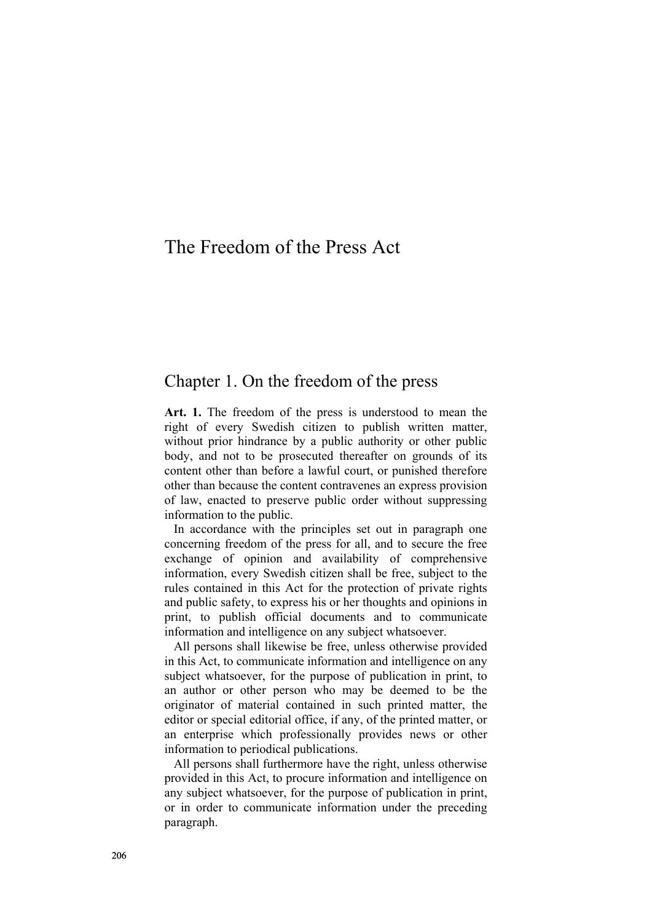# The Freedom of the Press Act

### Chapter 1. On the freedom of the press

**Art. 1.** The freedom of the press is understood to mean the right of every Swedish citizen to publish written matter, without prior hindrance by a public authority or other public body, and not to be prosecuted thereafter on grounds of its content other than before a lawful court, or punished therefore other than because the content contravenes an express provision of law, enacted to preserve public order without suppressing information to the public.

In accordance with the principles set out in paragraph one concerning freedom of the press for all, and to secure the free exchange of opinion and availability of comprehensive information, every Swedish citizen shall be free, subject to the rules contained in this Act for the protection of private rights and public safety, to express his or her thoughts and opinions in print, to publish official documents and to communicate information and intelligence on any subject whatsoever.

All persons shall likewise be free, unless otherwise provided in this Act, to communicate information and intelligence on any subject whatsoever, for the purpose of publication in print, to an author or other person who may be deemed to be the originator of material contained in such printed matter, the editor or special editorial office, if any, of the printed matter, or an enterprise which professionally provides news or other information to periodical publications.

All persons shall furthermore have the right, unless otherwise provided in this Act, to procure information and intelligence on any subject whatsoever, for the purpose of publication in print, or in order to communicate information under the preceding paragraph.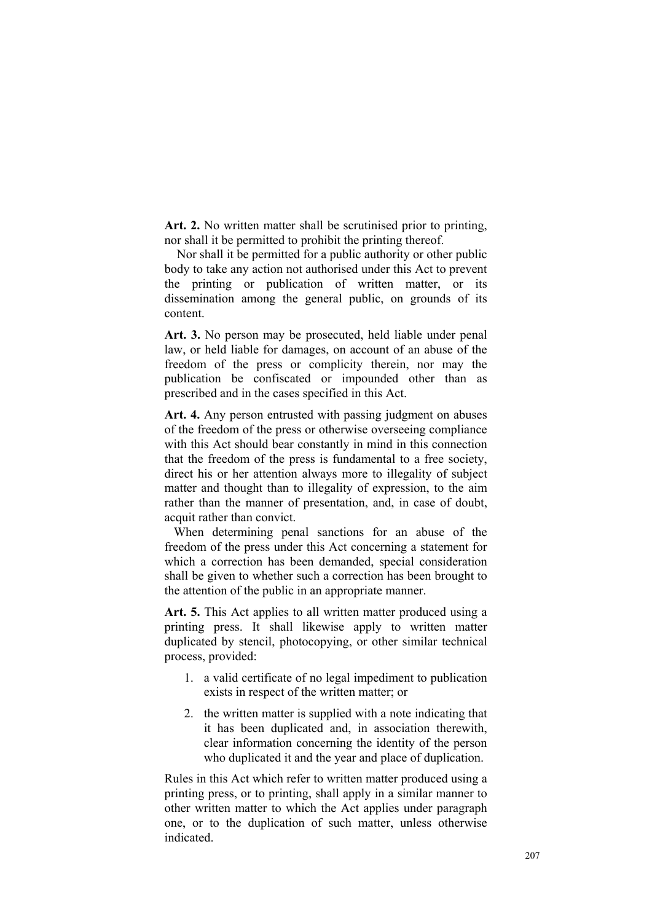Art. 2. No written matter shall be scrutinised prior to printing. nor shall it be permitted to prohibit the printing thereof.

 Nor shall it be permitted for a public authority or other public body to take any action not authorised under this Act to prevent the printing or publication of written matter, or its dissemination among the general public, on grounds of its content.

**Art. 3.** No person may be prosecuted, held liable under penal law, or held liable for damages, on account of an abuse of the freedom of the press or complicity therein, nor may the publication be confiscated or impounded other than as prescribed and in the cases specified in this Act.

Art. 4. Any person entrusted with passing judgment on abuses of the freedom of the press or otherwise overseeing compliance with this Act should bear constantly in mind in this connection that the freedom of the press is fundamental to a free society, direct his or her attention always more to illegality of subject matter and thought than to illegality of expression, to the aim rather than the manner of presentation, and, in case of doubt, acquit rather than convict.

When determining penal sanctions for an abuse of the freedom of the press under this Act concerning a statement for which a correction has been demanded, special consideration shall be given to whether such a correction has been brought to the attention of the public in an appropriate manner.

**Art. 5.** This Act applies to all written matter produced using a printing press. It shall likewise apply to written matter duplicated by stencil, photocopying, or other similar technical process, provided:

- 1. a valid certificate of no legal impediment to publication exists in respect of the written matter; or
- 2. the written matter is supplied with a note indicating that it has been duplicated and, in association therewith, clear information concerning the identity of the person who duplicated it and the year and place of duplication.

Rules in this Act which refer to written matter produced using a printing press, or to printing, shall apply in a similar manner to other written matter to which the Act applies under paragraph one, or to the duplication of such matter, unless otherwise indicated.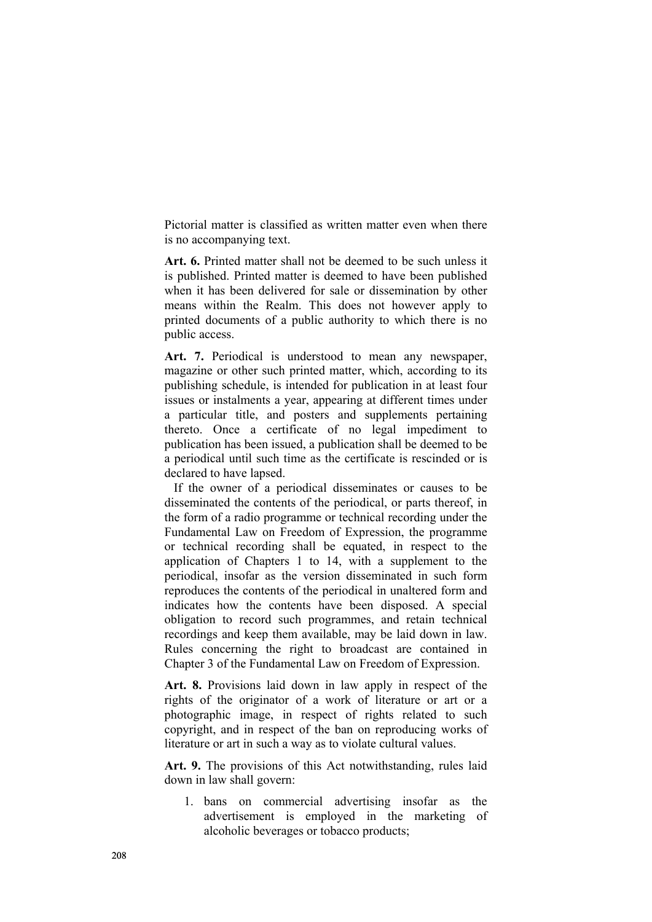Pictorial matter is classified as written matter even when there is no accompanying text.

**Art. 6.** Printed matter shall not be deemed to be such unless it is published. Printed matter is deemed to have been published when it has been delivered for sale or dissemination by other means within the Realm. This does not however apply to printed documents of a public authority to which there is no public access.

**Art. 7.** Periodical is understood to mean any newspaper, magazine or other such printed matter, which, according to its publishing schedule, is intended for publication in at least four issues or instalments a year, appearing at different times under a particular title, and posters and supplements pertaining thereto. Once a certificate of no legal impediment to publication has been issued, a publication shall be deemed to be a periodical until such time as the certificate is rescinded or is declared to have lapsed.

If the owner of a periodical disseminates or causes to be disseminated the contents of the periodical, or parts thereof, in the form of a radio programme or technical recording under the Fundamental Law on Freedom of Expression, the programme or technical recording shall be equated, in respect to the application of Chapters 1 to 14, with a supplement to the periodical, insofar as the version disseminated in such form reproduces the contents of the periodical in unaltered form and indicates how the contents have been disposed. A special obligation to record such programmes, and retain technical recordings and keep them available, may be laid down in law. Rules concerning the right to broadcast are contained in Chapter 3 of the Fundamental Law on Freedom of Expression.

**Art. 8.** Provisions laid down in law apply in respect of the rights of the originator of a work of literature or art or a photographic image, in respect of rights related to such copyright, and in respect of the ban on reproducing works of literature or art in such a way as to violate cultural values.

**Art. 9.** The provisions of this Act notwithstanding, rules laid down in law shall govern:

1. bans on commercial advertising insofar as the advertisement is employed in the marketing of alcoholic beverages or tobacco products;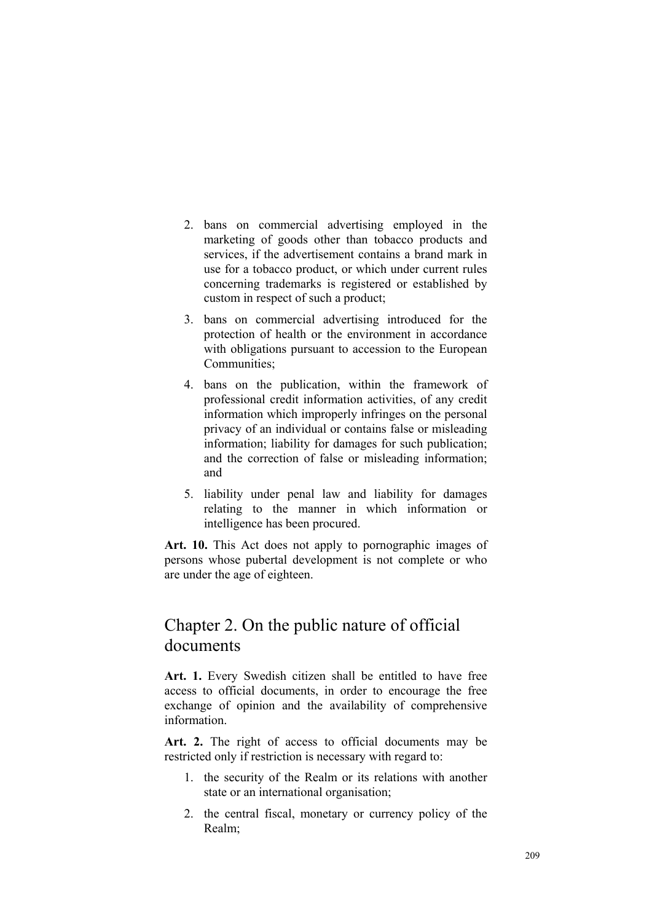- 2. bans on commercial advertising employed in the marketing of goods other than tobacco products and services, if the advertisement contains a brand mark in use for a tobacco product, or which under current rules concerning trademarks is registered or established by custom in respect of such a product;
- 3. bans on commercial advertising introduced for the protection of health or the environment in accordance with obligations pursuant to accession to the European Communities;
- 4. bans on the publication, within the framework of professional credit information activities, of any credit information which improperly infringes on the personal privacy of an individual or contains false or misleading information; liability for damages for such publication; and the correction of false or misleading information; and
- 5. liability under penal law and liability for damages relating to the manner in which information or intelligence has been procured.

**Art. 10.** This Act does not apply to pornographic images of persons whose pubertal development is not complete or who are under the age of eighteen.

# Chapter 2. On the public nature of official documents

**Art. 1.** Every Swedish citizen shall be entitled to have free access to official documents, in order to encourage the free exchange of opinion and the availability of comprehensive information.

**Art. 2.** The right of access to official documents may be restricted only if restriction is necessary with regard to:

- 1. the security of the Realm or its relations with another state or an international organisation;
- 2. the central fiscal, monetary or currency policy of the Realm;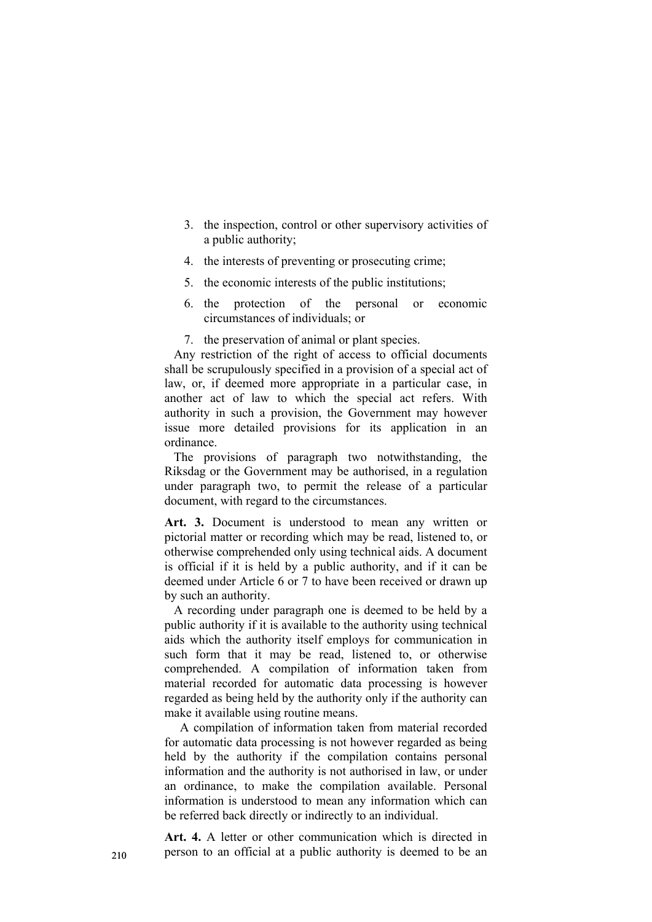- 3. the inspection, control or other supervisory activities of a public authority;
- 4. the interests of preventing or prosecuting crime;
- 5. the economic interests of the public institutions;
- 6. the protection of the personal or economic circumstances of individuals; or
- 7. the preservation of animal or plant species.

Any restriction of the right of access to official documents shall be scrupulously specified in a provision of a special act of law, or, if deemed more appropriate in a particular case, in another act of law to which the special act refers. With authority in such a provision, the Government may however issue more detailed provisions for its application in an ordinance.

The provisions of paragraph two notwithstanding, the Riksdag or the Government may be authorised, in a regulation under paragraph two, to permit the release of a particular document, with regard to the circumstances.

Art. 3. Document is understood to mean any written or pictorial matter or recording which may be read, listened to, or otherwise comprehended only using technical aids. A document is official if it is held by a public authority, and if it can be deemed under Article 6 or 7 to have been received or drawn up by such an authority.

A recording under paragraph one is deemed to be held by a public authority if it is available to the authority using technical aids which the authority itself employs for communication in such form that it may be read, listened to, or otherwise comprehended. A compilation of information taken from material recorded for automatic data processing is however regarded as being held by the authority only if the authority can make it available using routine means.

A compilation of information taken from material recorded for automatic data processing is not however regarded as being held by the authority if the compilation contains personal information and the authority is not authorised in law, or under an ordinance, to make the compilation available. Personal information is understood to mean any information which can be referred back directly or indirectly to an individual.

**Art. 4.** A letter or other communication which is directed in person to an official at a public authority is deemed to be an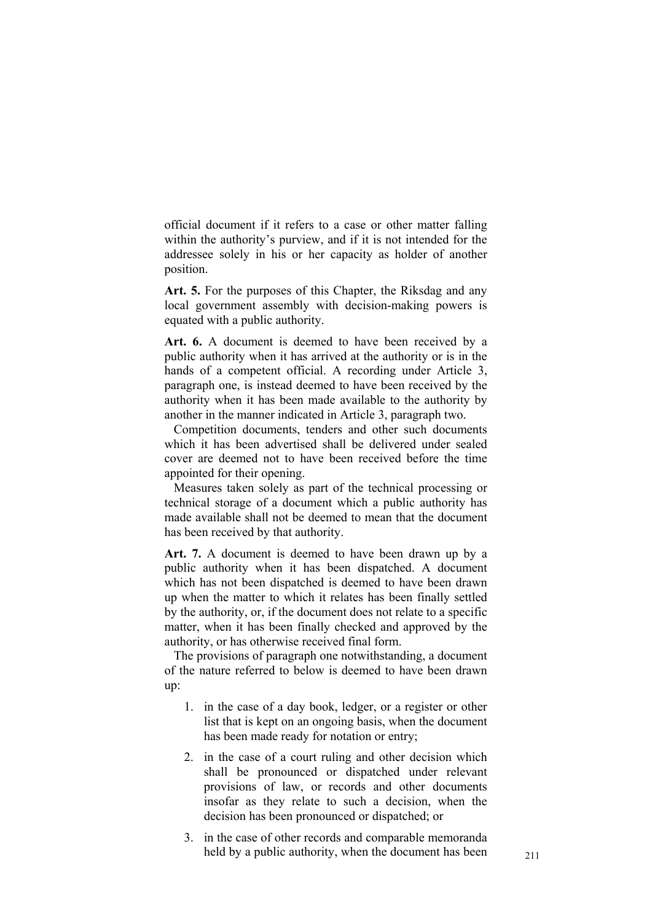official document if it refers to a case or other matter falling within the authority's purview, and if it is not intended for the addressee solely in his or her capacity as holder of another position.

**Art. 5.** For the purposes of this Chapter, the Riksdag and any local government assembly with decision-making powers is equated with a public authority.

**Art. 6.** A document is deemed to have been received by a public authority when it has arrived at the authority or is in the hands of a competent official. A recording under Article 3, paragraph one, is instead deemed to have been received by the authority when it has been made available to the authority by another in the manner indicated in Article 3, paragraph two.

Competition documents, tenders and other such documents which it has been advertised shall be delivered under sealed cover are deemed not to have been received before the time appointed for their opening.

Measures taken solely as part of the technical processing or technical storage of a document which a public authority has made available shall not be deemed to mean that the document has been received by that authority.

**Art. 7.** A document is deemed to have been drawn up by a public authority when it has been dispatched. A document which has not been dispatched is deemed to have been drawn up when the matter to which it relates has been finally settled by the authority, or, if the document does not relate to a specific matter, when it has been finally checked and approved by the authority, or has otherwise received final form.

The provisions of paragraph one notwithstanding, a document of the nature referred to below is deemed to have been drawn up:

- 1. in the case of a day book, ledger, or a register or other list that is kept on an ongoing basis, when the document has been made ready for notation or entry;
- 2. in the case of a court ruling and other decision which shall be pronounced or dispatched under relevant provisions of law, or records and other documents insofar as they relate to such a decision, when the decision has been pronounced or dispatched; or
- 3. in the case of other records and comparable memoranda held by a public authority, when the document has been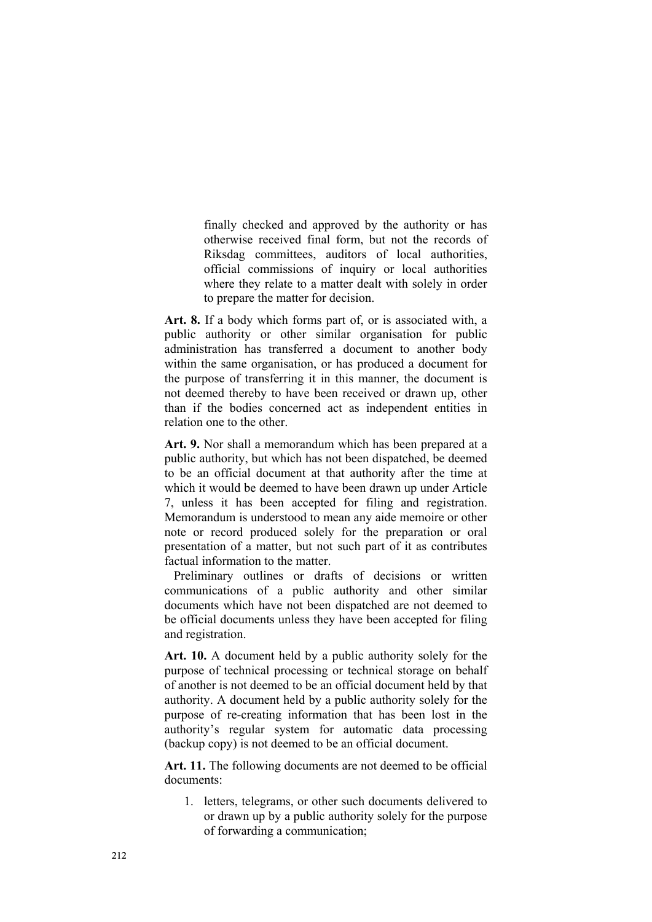finally checked and approved by the authority or has otherwise received final form, but not the records of Riksdag committees, auditors of local authorities, official commissions of inquiry or local authorities where they relate to a matter dealt with solely in order to prepare the matter for decision.

**Art. 8.** If a body which forms part of, or is associated with, a public authority or other similar organisation for public administration has transferred a document to another body within the same organisation, or has produced a document for the purpose of transferring it in this manner, the document is not deemed thereby to have been received or drawn up, other than if the bodies concerned act as independent entities in relation one to the other.

**Art. 9.** Nor shall a memorandum which has been prepared at a public authority, but which has not been dispatched, be deemed to be an official document at that authority after the time at which it would be deemed to have been drawn up under Article 7, unless it has been accepted for filing and registration. Memorandum is understood to mean any aide memoire or other note or record produced solely for the preparation or oral presentation of a matter, but not such part of it as contributes factual information to the matter.

Preliminary outlines or drafts of decisions or written communications of a public authority and other similar documents which have not been dispatched are not deemed to be official documents unless they have been accepted for filing and registration.

**Art. 10.** A document held by a public authority solely for the purpose of technical processing or technical storage on behalf of another is not deemed to be an official document held by that authority. A document held by a public authority solely for the purpose of re-creating information that has been lost in the authority's regular system for automatic data processing (backup copy) is not deemed to be an official document.

**Art. 11.** The following documents are not deemed to be official documents:

1. letters, telegrams, or other such documents delivered to or drawn up by a public authority solely for the purpose of forwarding a communication;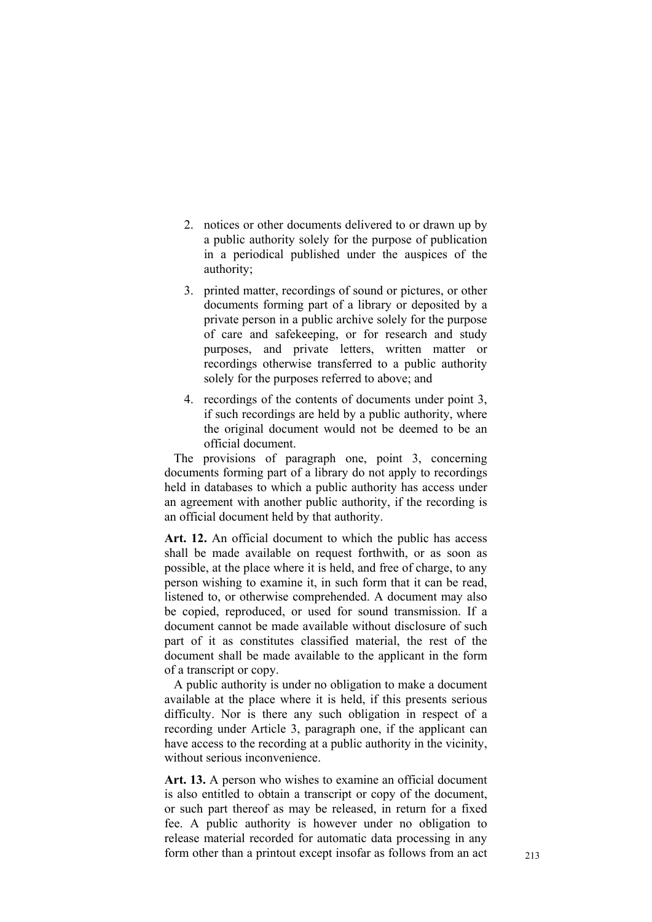- 2. notices or other documents delivered to or drawn up by a public authority solely for the purpose of publication in a periodical published under the auspices of the authority;
- 3. printed matter, recordings of sound or pictures, or other documents forming part of a library or deposited by a private person in a public archive solely for the purpose of care and safekeeping, or for research and study purposes, and private letters, written matter or recordings otherwise transferred to a public authority solely for the purposes referred to above; and
- 4. recordings of the contents of documents under point 3, if such recordings are held by a public authority, where the original document would not be deemed to be an official document.

The provisions of paragraph one, point 3, concerning documents forming part of a library do not apply to recordings held in databases to which a public authority has access under an agreement with another public authority, if the recording is an official document held by that authority.

**Art. 12.** An official document to which the public has access shall be made available on request forthwith, or as soon as possible, at the place where it is held, and free of charge, to any person wishing to examine it, in such form that it can be read, listened to, or otherwise comprehended. A document may also be copied, reproduced, or used for sound transmission. If a document cannot be made available without disclosure of such part of it as constitutes classified material, the rest of the document shall be made available to the applicant in the form of a transcript or copy.

A public authority is under no obligation to make a document available at the place where it is held, if this presents serious difficulty. Nor is there any such obligation in respect of a recording under Article 3, paragraph one, if the applicant can have access to the recording at a public authority in the vicinity, without serious inconvenience.

**Art. 13.** A person who wishes to examine an official document is also entitled to obtain a transcript or copy of the document, or such part thereof as may be released, in return for a fixed fee. A public authority is however under no obligation to release material recorded for automatic data processing in any form other than a printout except insofar as follows from an act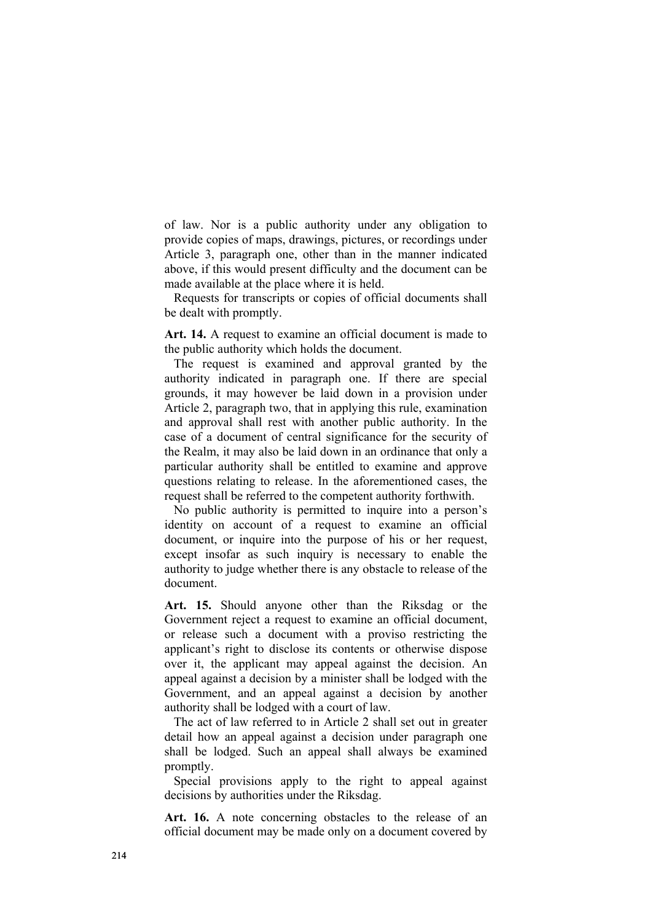of law. Nor is a public authority under any obligation to provide copies of maps, drawings, pictures, or recordings under Article 3, paragraph one, other than in the manner indicated above, if this would present difficulty and the document can be made available at the place where it is held.

Requests for transcripts or copies of official documents shall be dealt with promptly.

**Art. 14.** A request to examine an official document is made to the public authority which holds the document.

The request is examined and approval granted by the authority indicated in paragraph one. If there are special grounds, it may however be laid down in a provision under Article 2, paragraph two, that in applying this rule, examination and approval shall rest with another public authority. In the case of a document of central significance for the security of the Realm, it may also be laid down in an ordinance that only a particular authority shall be entitled to examine and approve questions relating to release. In the aforementioned cases, the request shall be referred to the competent authority forthwith.

No public authority is permitted to inquire into a person's identity on account of a request to examine an official document, or inquire into the purpose of his or her request, except insofar as such inquiry is necessary to enable the authority to judge whether there is any obstacle to release of the document.

**Art. 15.** Should anyone other than the Riksdag or the Government reject a request to examine an official document, or release such a document with a proviso restricting the applicant's right to disclose its contents or otherwise dispose over it, the applicant may appeal against the decision. An appeal against a decision by a minister shall be lodged with the Government, and an appeal against a decision by another authority shall be lodged with a court of law.

The act of law referred to in Article 2 shall set out in greater detail how an appeal against a decision under paragraph one shall be lodged. Such an appeal shall always be examined promptly.

Special provisions apply to the right to appeal against decisions by authorities under the Riksdag.

Art. 16. A note concerning obstacles to the release of an official document may be made only on a document covered by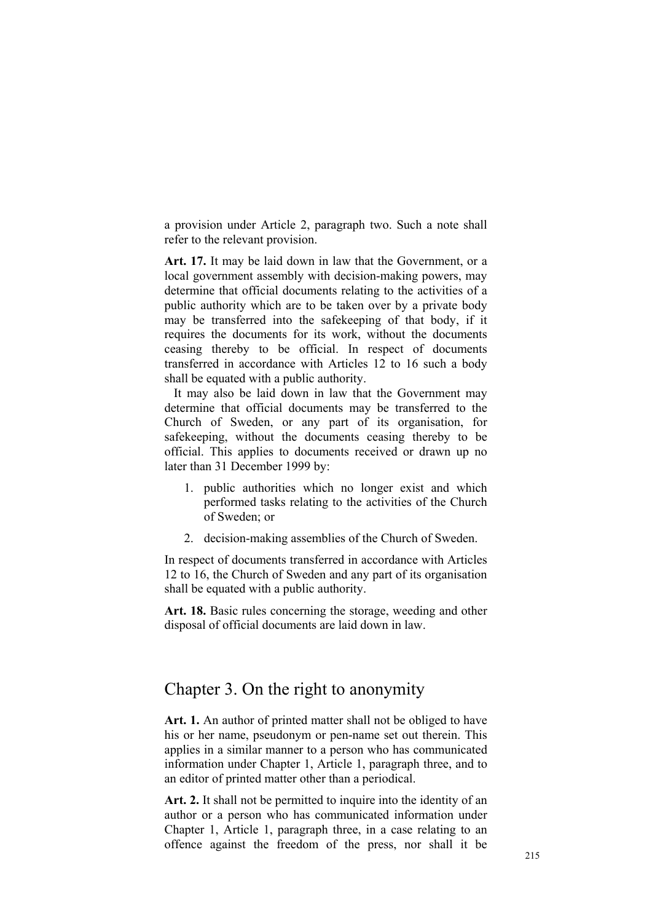a provision under Article 2, paragraph two. Such a note shall refer to the relevant provision.

**Art. 17.** It may be laid down in law that the Government, or a local government assembly with decision-making powers, may determine that official documents relating to the activities of a public authority which are to be taken over by a private body may be transferred into the safekeeping of that body, if it requires the documents for its work, without the documents ceasing thereby to be official. In respect of documents transferred in accordance with Articles 12 to 16 such a body shall be equated with a public authority.

It may also be laid down in law that the Government may determine that official documents may be transferred to the Church of Sweden, or any part of its organisation, for safekeeping, without the documents ceasing thereby to be official. This applies to documents received or drawn up no later than 31 December 1999 by:

- 1. public authorities which no longer exist and which performed tasks relating to the activities of the Church of Sweden; or
- 2. decision-making assemblies of the Church of Sweden.

In respect of documents transferred in accordance with Articles 12 to 16, the Church of Sweden and any part of its organisation shall be equated with a public authority.

**Art. 18.** Basic rules concerning the storage, weeding and other disposal of official documents are laid down in law.

## Chapter 3. On the right to anonymity

**Art. 1.** An author of printed matter shall not be obliged to have his or her name, pseudonym or pen-name set out therein. This applies in a similar manner to a person who has communicated information under Chapter 1, Article 1, paragraph three, and to an editor of printed matter other than a periodical.

**Art. 2.** It shall not be permitted to inquire into the identity of an author or a person who has communicated information under Chapter 1, Article 1, paragraph three, in a case relating to an offence against the freedom of the press, nor shall it be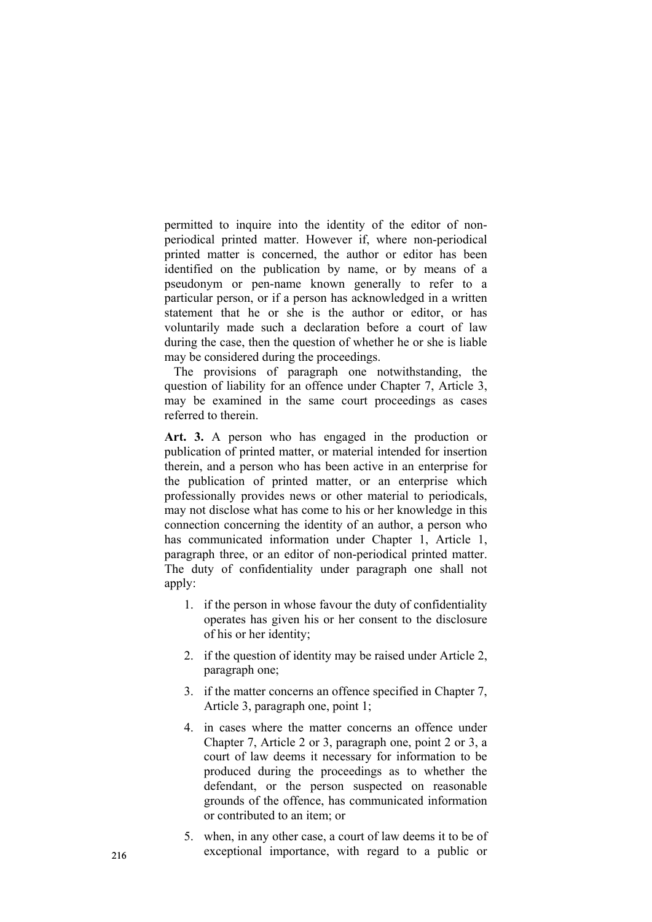permitted to inquire into the identity of the editor of nonperiodical printed matter. However if, where non-periodical printed matter is concerned, the author or editor has been identified on the publication by name, or by means of a pseudonym or pen-name known generally to refer to a particular person, or if a person has acknowledged in a written statement that he or she is the author or editor, or has voluntarily made such a declaration before a court of law during the case, then the question of whether he or she is liable may be considered during the proceedings.

The provisions of paragraph one notwithstanding, the question of liability for an offence under Chapter 7, Article 3, may be examined in the same court proceedings as cases referred to therein.

**Art. 3.** A person who has engaged in the production or publication of printed matter, or material intended for insertion therein, and a person who has been active in an enterprise for the publication of printed matter, or an enterprise which professionally provides news or other material to periodicals, may not disclose what has come to his or her knowledge in this connection concerning the identity of an author, a person who has communicated information under Chapter 1, Article 1, paragraph three, or an editor of non-periodical printed matter. The duty of confidentiality under paragraph one shall not apply:

- 1. if the person in whose favour the duty of confidentiality operates has given his or her consent to the disclosure of his or her identity;
- 2. if the question of identity may be raised under Article 2, paragraph one;
- 3. if the matter concerns an offence specified in Chapter 7, Article 3, paragraph one, point 1;
- 4. in cases where the matter concerns an offence under Chapter 7, Article 2 or 3, paragraph one, point 2 or 3, a court of law deems it necessary for information to be produced during the proceedings as to whether the defendant, or the person suspected on reasonable grounds of the offence, has communicated information or contributed to an item; or
- 5. when, in any other case, a court of law deems it to be of exceptional importance, with regard to a public or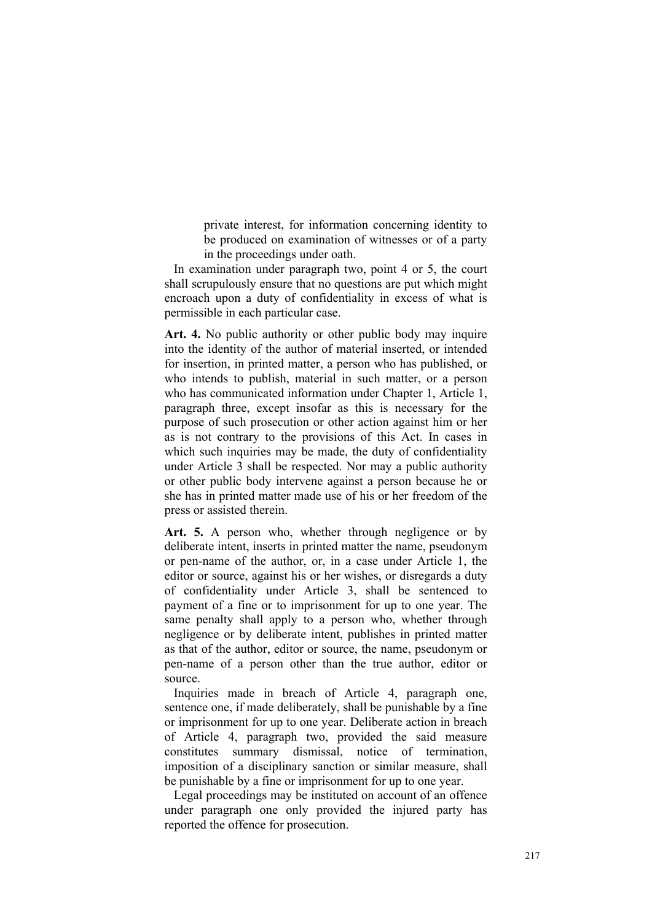private interest, for information concerning identity to be produced on examination of witnesses or of a party in the proceedings under oath.

In examination under paragraph two, point 4 or 5, the court shall scrupulously ensure that no questions are put which might encroach upon a duty of confidentiality in excess of what is permissible in each particular case.

**Art. 4.** No public authority or other public body may inquire into the identity of the author of material inserted, or intended for insertion, in printed matter, a person who has published, or who intends to publish, material in such matter, or a person who has communicated information under Chapter 1, Article 1, paragraph three, except insofar as this is necessary for the purpose of such prosecution or other action against him or her as is not contrary to the provisions of this Act. In cases in which such inquiries may be made, the duty of confidentiality under Article 3 shall be respected. Nor may a public authority or other public body intervene against a person because he or she has in printed matter made use of his or her freedom of the press or assisted therein.

Art. 5. A person who, whether through negligence or by deliberate intent, inserts in printed matter the name, pseudonym or pen-name of the author, or, in a case under Article 1, the editor or source, against his or her wishes, or disregards a duty of confidentiality under Article 3, shall be sentenced to payment of a fine or to imprisonment for up to one year. The same penalty shall apply to a person who, whether through negligence or by deliberate intent, publishes in printed matter as that of the author, editor or source, the name, pseudonym or pen-name of a person other than the true author, editor or source.

Inquiries made in breach of Article 4, paragraph one, sentence one, if made deliberately, shall be punishable by a fine or imprisonment for up to one year. Deliberate action in breach of Article 4, paragraph two, provided the said measure constitutes summary dismissal, notice of termination, imposition of a disciplinary sanction or similar measure, shall be punishable by a fine or imprisonment for up to one year.

Legal proceedings may be instituted on account of an offence under paragraph one only provided the injured party has reported the offence for prosecution.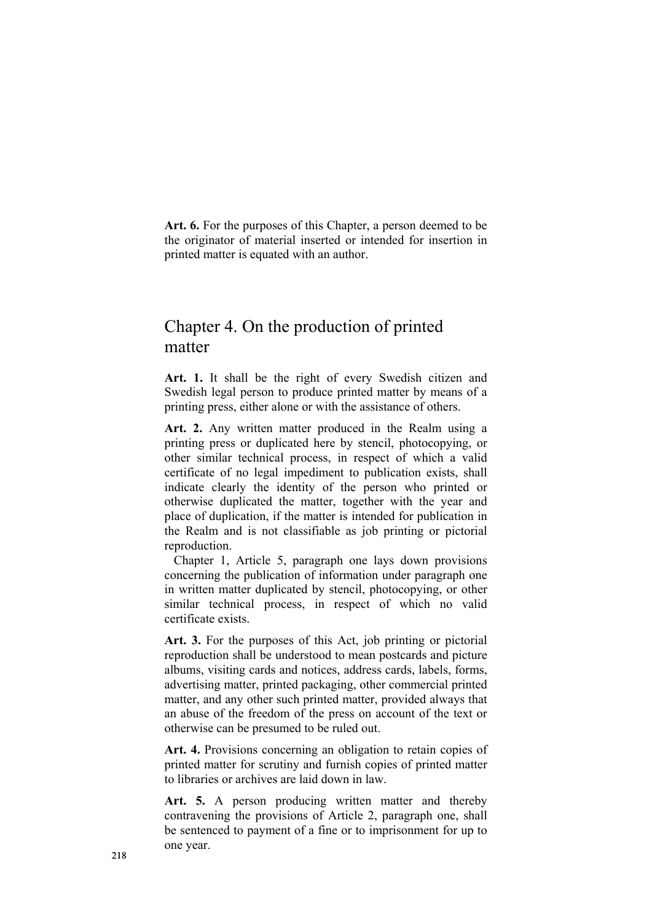Art. 6. For the purposes of this Chapter, a person deemed to be the originator of material inserted or intended for insertion in printed matter is equated with an author.

# Chapter 4. On the production of printed matter

**Art. 1.** It shall be the right of every Swedish citizen and Swedish legal person to produce printed matter by means of a printing press, either alone or with the assistance of others.

**Art. 2.** Any written matter produced in the Realm using a printing press or duplicated here by stencil, photocopying, or other similar technical process, in respect of which a valid certificate of no legal impediment to publication exists, shall indicate clearly the identity of the person who printed or otherwise duplicated the matter, together with the year and place of duplication, if the matter is intended for publication in the Realm and is not classifiable as job printing or pictorial reproduction.

Chapter 1, Article 5, paragraph one lays down provisions concerning the publication of information under paragraph one in written matter duplicated by stencil, photocopying, or other similar technical process, in respect of which no valid certificate exists.

**Art. 3.** For the purposes of this Act, job printing or pictorial reproduction shall be understood to mean postcards and picture albums, visiting cards and notices, address cards, labels, forms, advertising matter, printed packaging, other commercial printed matter, and any other such printed matter, provided always that an abuse of the freedom of the press on account of the text or otherwise can be presumed to be ruled out.

**Art. 4.** Provisions concerning an obligation to retain copies of printed matter for scrutiny and furnish copies of printed matter to libraries or archives are laid down in law.

Art. 5. A person producing written matter and thereby contravening the provisions of Article 2, paragraph one, shall be sentenced to payment of a fine or to imprisonment for up to one year.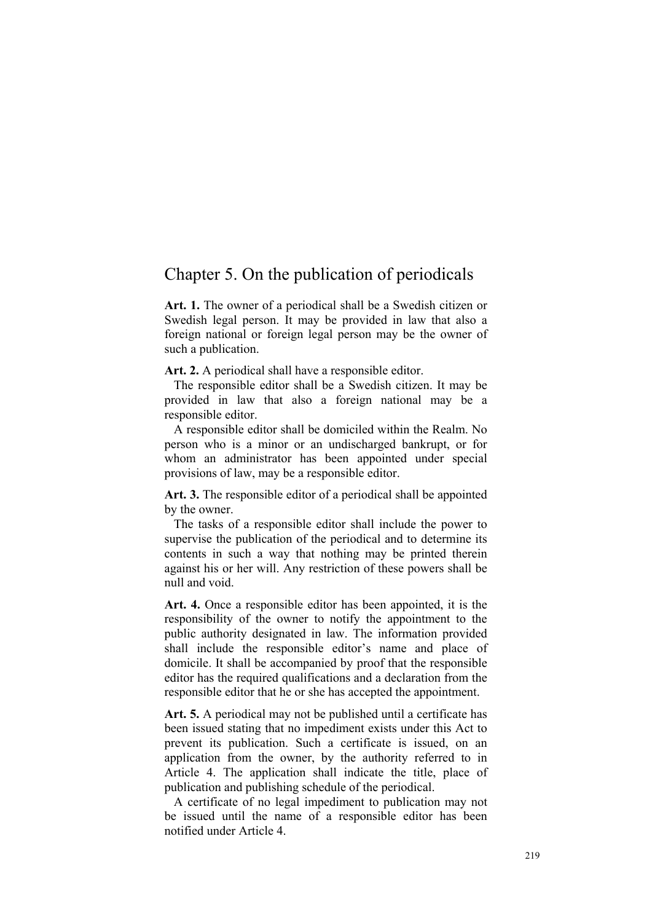## Chapter 5. On the publication of periodicals

**Art. 1.** The owner of a periodical shall be a Swedish citizen or Swedish legal person. It may be provided in law that also a foreign national or foreign legal person may be the owner of such a publication.

**Art. 2.** A periodical shall have a responsible editor.

The responsible editor shall be a Swedish citizen. It may be provided in law that also a foreign national may be a responsible editor.

A responsible editor shall be domiciled within the Realm. No person who is a minor or an undischarged bankrupt, or for whom an administrator has been appointed under special provisions of law, may be a responsible editor.

**Art. 3.** The responsible editor of a periodical shall be appointed by the owner.

The tasks of a responsible editor shall include the power to supervise the publication of the periodical and to determine its contents in such a way that nothing may be printed therein against his or her will. Any restriction of these powers shall be null and void.

**Art. 4.** Once a responsible editor has been appointed, it is the responsibility of the owner to notify the appointment to the public authority designated in law. The information provided shall include the responsible editor's name and place of domicile. It shall be accompanied by proof that the responsible editor has the required qualifications and a declaration from the responsible editor that he or she has accepted the appointment.

**Art. 5.** A periodical may not be published until a certificate has been issued stating that no impediment exists under this Act to prevent its publication. Such a certificate is issued, on an application from the owner, by the authority referred to in Article 4. The application shall indicate the title, place of publication and publishing schedule of the periodical.

A certificate of no legal impediment to publication may not be issued until the name of a responsible editor has been notified under Article 4.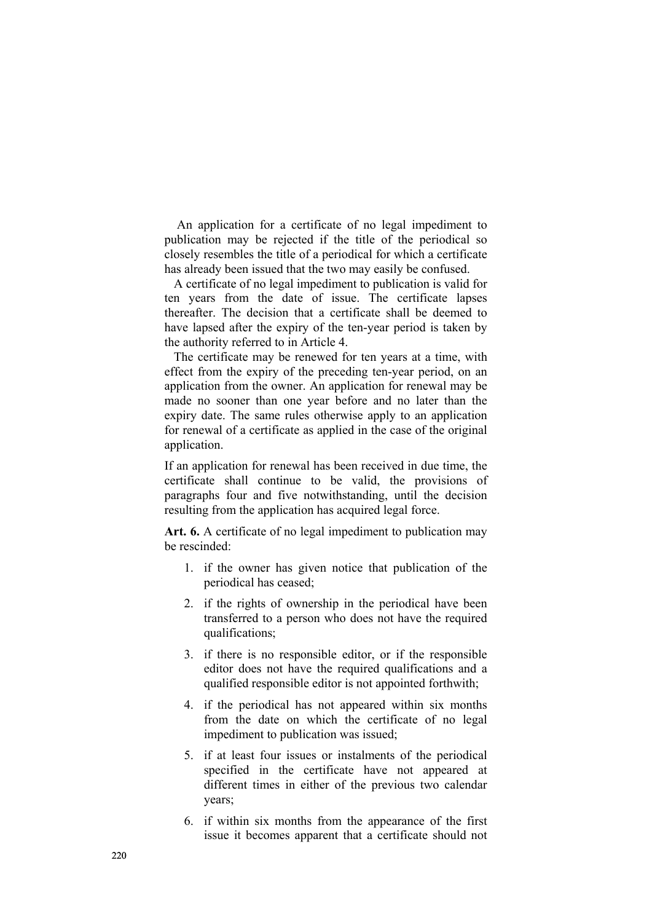An application for a certificate of no legal impediment to publication may be rejected if the title of the periodical so closely resembles the title of a periodical for which a certificate has already been issued that the two may easily be confused.

A certificate of no legal impediment to publication is valid for ten years from the date of issue. The certificate lapses thereafter. The decision that a certificate shall be deemed to have lapsed after the expiry of the ten-year period is taken by the authority referred to in Article 4.

The certificate may be renewed for ten years at a time, with effect from the expiry of the preceding ten-year period, on an application from the owner. An application for renewal may be made no sooner than one year before and no later than the expiry date. The same rules otherwise apply to an application for renewal of a certificate as applied in the case of the original application.

If an application for renewal has been received in due time, the certificate shall continue to be valid, the provisions of paragraphs four and five notwithstanding, until the decision resulting from the application has acquired legal force.

**Art. 6.** A certificate of no legal impediment to publication may be rescinded:

- 1. if the owner has given notice that publication of the periodical has ceased;
- 2. if the rights of ownership in the periodical have been transferred to a person who does not have the required qualifications;
- 3. if there is no responsible editor, or if the responsible editor does not have the required qualifications and a qualified responsible editor is not appointed forthwith;
- 4. if the periodical has not appeared within six months from the date on which the certificate of no legal impediment to publication was issued;
- 5. if at least four issues or instalments of the periodical specified in the certificate have not appeared at different times in either of the previous two calendar years;
- 6. if within six months from the appearance of the first issue it becomes apparent that a certificate should not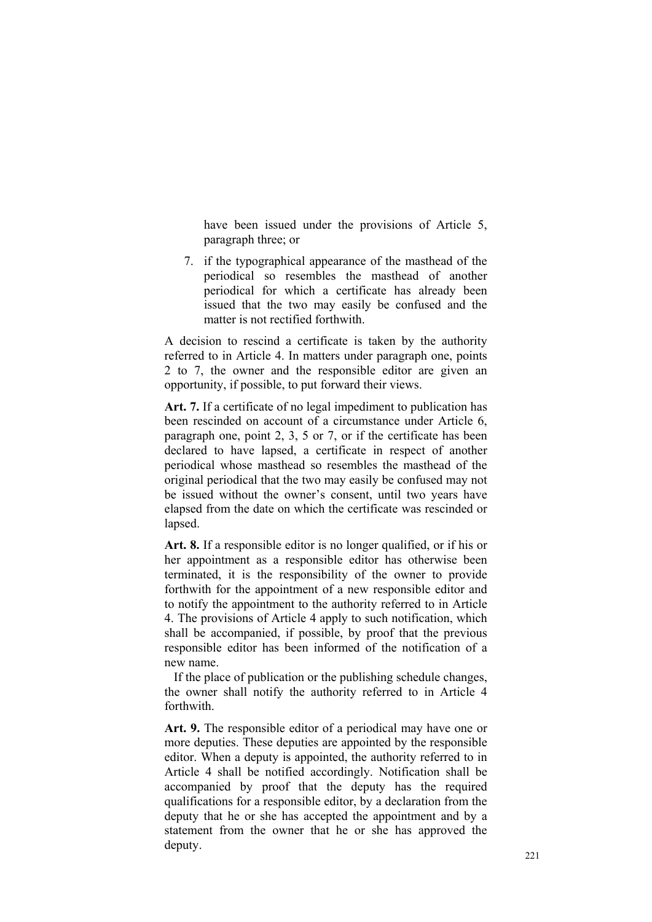have been issued under the provisions of Article 5, paragraph three; or

7. if the typographical appearance of the masthead of the periodical so resembles the masthead of another periodical for which a certificate has already been issued that the two may easily be confused and the matter is not rectified forthwith.

A decision to rescind a certificate is taken by the authority referred to in Article 4. In matters under paragraph one, points 2 to 7, the owner and the responsible editor are given an opportunity, if possible, to put forward their views.

**Art. 7.** If a certificate of no legal impediment to publication has been rescinded on account of a circumstance under Article 6, paragraph one, point 2, 3, 5 or 7, or if the certificate has been declared to have lapsed, a certificate in respect of another periodical whose masthead so resembles the masthead of the original periodical that the two may easily be confused may not be issued without the owner's consent, until two years have elapsed from the date on which the certificate was rescinded or lapsed.

**Art. 8.** If a responsible editor is no longer qualified, or if his or her appointment as a responsible editor has otherwise been terminated, it is the responsibility of the owner to provide forthwith for the appointment of a new responsible editor and to notify the appointment to the authority referred to in Article 4. The provisions of Article 4 apply to such notification, which shall be accompanied, if possible, by proof that the previous responsible editor has been informed of the notification of a new name.

If the place of publication or the publishing schedule changes, the owner shall notify the authority referred to in Article 4 forthwith.

**Art. 9.** The responsible editor of a periodical may have one or more deputies. These deputies are appointed by the responsible editor. When a deputy is appointed, the authority referred to in Article 4 shall be notified accordingly. Notification shall be accompanied by proof that the deputy has the required qualifications for a responsible editor, by a declaration from the deputy that he or she has accepted the appointment and by a statement from the owner that he or she has approved the deputy.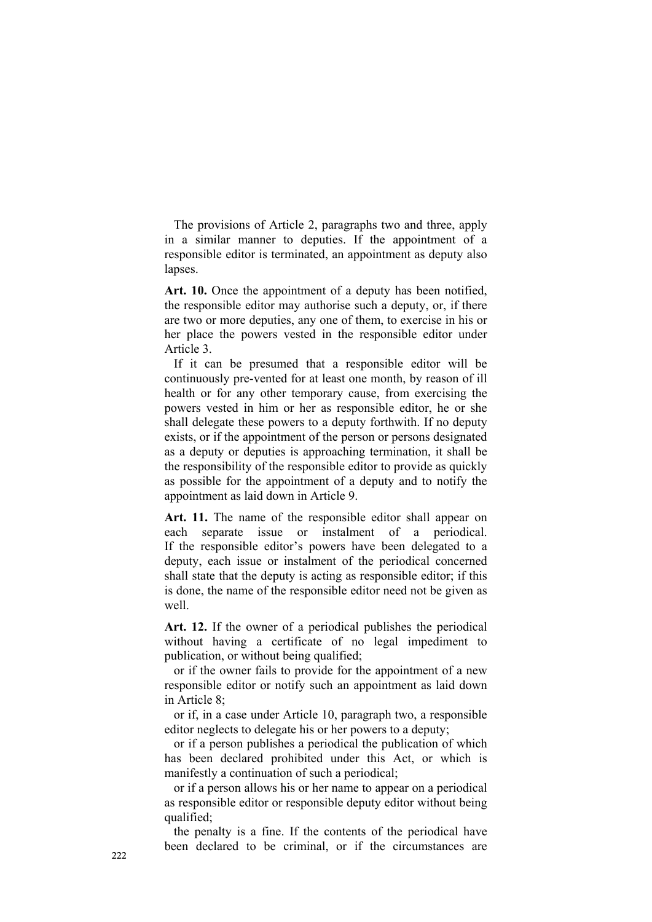The provisions of Article 2, paragraphs two and three, apply in a similar manner to deputies. If the appointment of a responsible editor is terminated, an appointment as deputy also lapses.

**Art. 10.** Once the appointment of a deputy has been notified, the responsible editor may authorise such a deputy, or, if there are two or more deputies, any one of them, to exercise in his or her place the powers vested in the responsible editor under Article 3.

If it can be presumed that a responsible editor will be continuously pre-vented for at least one month, by reason of ill health or for any other temporary cause, from exercising the powers vested in him or her as responsible editor, he or she shall delegate these powers to a deputy forthwith. If no deputy exists, or if the appointment of the person or persons designated as a deputy or deputies is approaching termination, it shall be the responsibility of the responsible editor to provide as quickly as possible for the appointment of a deputy and to notify the appointment as laid down in Article 9.

**Art. 11.** The name of the responsible editor shall appear on each separate issue or instalment of a periodical. If the responsible editor's powers have been delegated to a deputy, each issue or instalment of the periodical concerned shall state that the deputy is acting as responsible editor; if this is done, the name of the responsible editor need not be given as well.

**Art. 12.** If the owner of a periodical publishes the periodical without having a certificate of no legal impediment to publication, or without being qualified;

or if the owner fails to provide for the appointment of a new responsible editor or notify such an appointment as laid down in Article 8;

or if, in a case under Article 10, paragraph two, a responsible editor neglects to delegate his or her powers to a deputy;

or if a person publishes a periodical the publication of which has been declared prohibited under this Act, or which is manifestly a continuation of such a periodical;

or if a person allows his or her name to appear on a periodical as responsible editor or responsible deputy editor without being qualified;

the penalty is a fine. If the contents of the periodical have been declared to be criminal, or if the circumstances are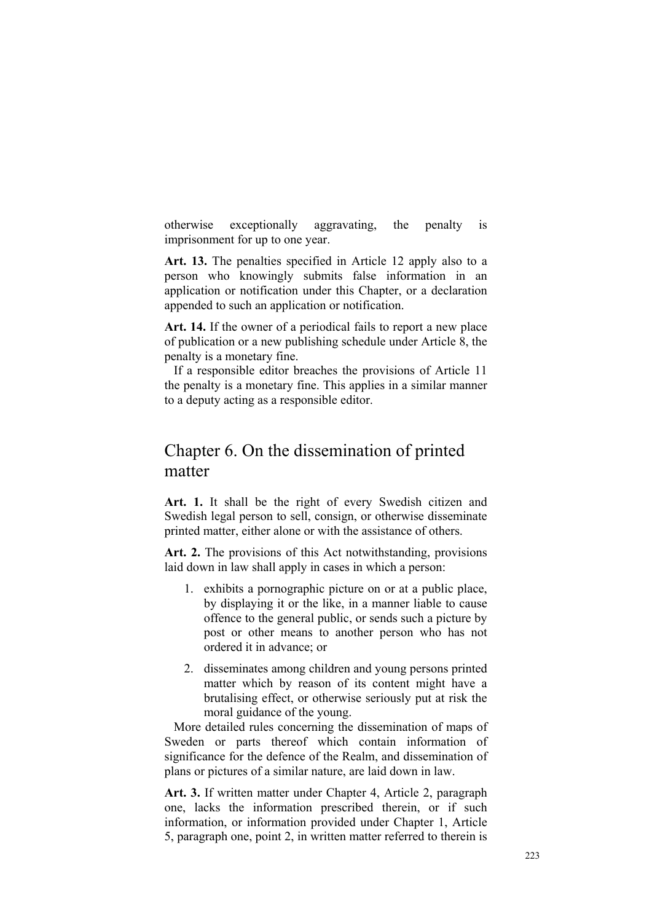otherwise exceptionally aggravating, the penalty is imprisonment for up to one year.

**Art. 13.** The penalties specified in Article 12 apply also to a person who knowingly submits false information in an application or notification under this Chapter, or a declaration appended to such an application or notification.

**Art. 14.** If the owner of a periodical fails to report a new place of publication or a new publishing schedule under Article 8, the penalty is a monetary fine.

If a responsible editor breaches the provisions of Article 11 the penalty is a monetary fine. This applies in a similar manner to a deputy acting as a responsible editor.

# Chapter 6. On the dissemination of printed matter

**Art. 1.** It shall be the right of every Swedish citizen and Swedish legal person to sell, consign, or otherwise disseminate printed matter, either alone or with the assistance of others.

**Art. 2.** The provisions of this Act notwithstanding, provisions laid down in law shall apply in cases in which a person:

- 1. exhibits a pornographic picture on or at a public place, by displaying it or the like, in a manner liable to cause offence to the general public, or sends such a picture by post or other means to another person who has not ordered it in advance; or
- 2. disseminates among children and young persons printed matter which by reason of its content might have a brutalising effect, or otherwise seriously put at risk the moral guidance of the young.

More detailed rules concerning the dissemination of maps of Sweden or parts thereof which contain information of significance for the defence of the Realm, and dissemination of plans or pictures of a similar nature, are laid down in law.

**Art. 3.** If written matter under Chapter 4, Article 2, paragraph one, lacks the information prescribed therein, or if such information, or information provided under Chapter 1, Article 5, paragraph one, point 2, in written matter referred to therein is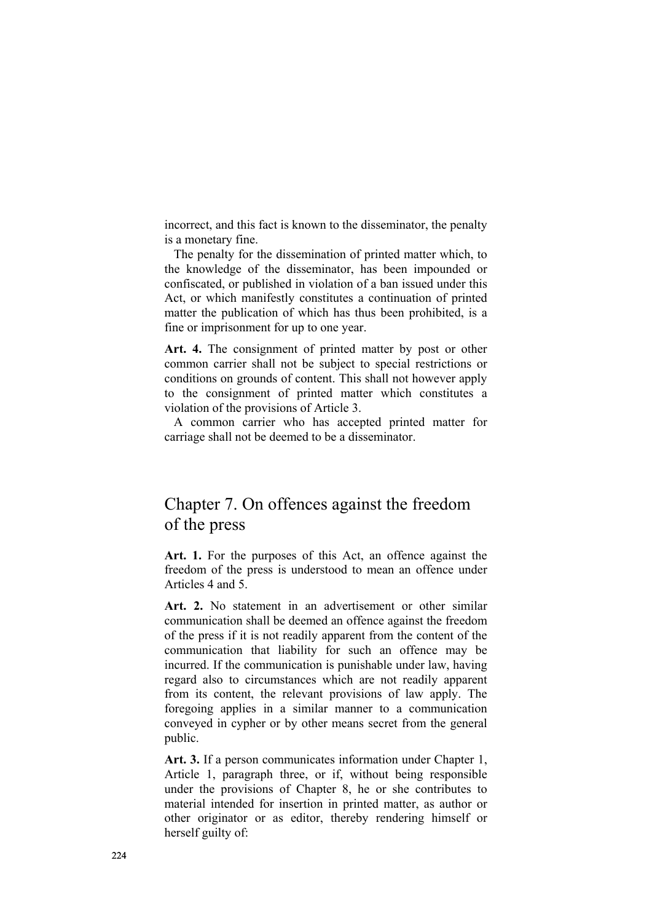incorrect, and this fact is known to the disseminator, the penalty is a monetary fine.

The penalty for the dissemination of printed matter which, to the knowledge of the disseminator, has been impounded or confiscated, or published in violation of a ban issued under this Act, or which manifestly constitutes a continuation of printed matter the publication of which has thus been prohibited, is a fine or imprisonment for up to one year.

**Art. 4.** The consignment of printed matter by post or other common carrier shall not be subject to special restrictions or conditions on grounds of content. This shall not however apply to the consignment of printed matter which constitutes a violation of the provisions of Article 3.

A common carrier who has accepted printed matter for carriage shall not be deemed to be a disseminator.

## Chapter 7. On offences against the freedom of the press

**Art. 1.** For the purposes of this Act, an offence against the freedom of the press is understood to mean an offence under Articles 4 and 5.

**Art. 2.** No statement in an advertisement or other similar communication shall be deemed an offence against the freedom of the press if it is not readily apparent from the content of the communication that liability for such an offence may be incurred. If the communication is punishable under law, having regard also to circumstances which are not readily apparent from its content, the relevant provisions of law apply. The foregoing applies in a similar manner to a communication conveyed in cypher or by other means secret from the general public.

**Art. 3.** If a person communicates information under Chapter 1, Article 1, paragraph three, or if, without being responsible under the provisions of Chapter 8, he or she contributes to material intended for insertion in printed matter, as author or other originator or as editor, thereby rendering himself or herself guilty of: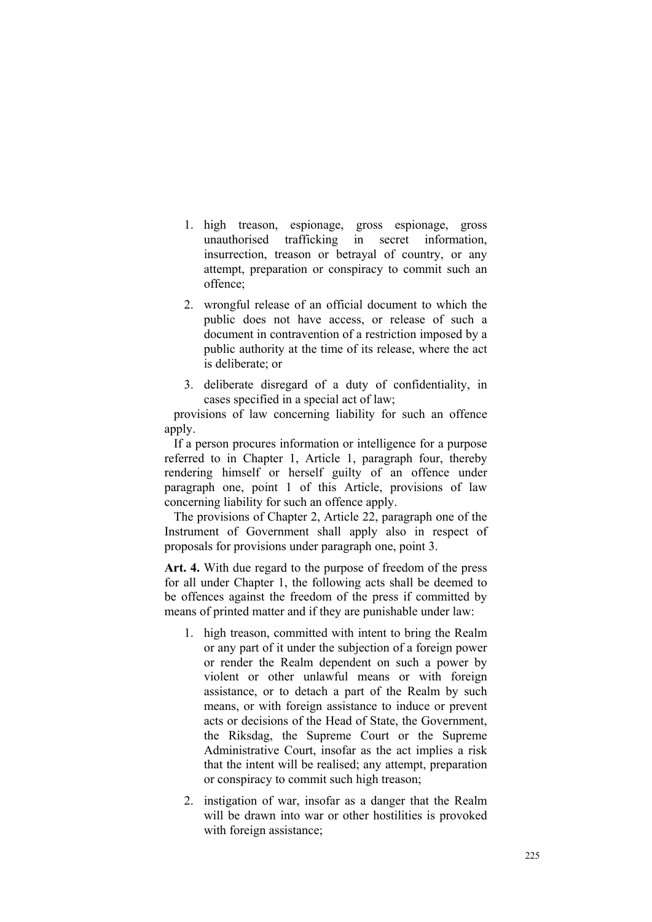- 1. high treason, espionage, gross espionage, gross unauthorised trafficking in secret information, insurrection, treason or betrayal of country, or any attempt, preparation or conspiracy to commit such an offence;
- 2. wrongful release of an official document to which the public does not have access, or release of such a document in contravention of a restriction imposed by a public authority at the time of its release, where the act is deliberate; or
- 3. deliberate disregard of a duty of confidentiality, in cases specified in a special act of law;

provisions of law concerning liability for such an offence apply.

If a person procures information or intelligence for a purpose referred to in Chapter 1, Article 1, paragraph four, thereby rendering himself or herself guilty of an offence under paragraph one, point 1 of this Article, provisions of law concerning liability for such an offence apply.

The provisions of Chapter 2, Article 22, paragraph one of the Instrument of Government shall apply also in respect of proposals for provisions under paragraph one, point 3.

**Art. 4.** With due regard to the purpose of freedom of the press for all under Chapter 1, the following acts shall be deemed to be offences against the freedom of the press if committed by means of printed matter and if they are punishable under law:

- 1. high treason, committed with intent to bring the Realm or any part of it under the subjection of a foreign power or render the Realm dependent on such a power by violent or other unlawful means or with foreign assistance, or to detach a part of the Realm by such means, or with foreign assistance to induce or prevent acts or decisions of the Head of State, the Government, the Riksdag, the Supreme Court or the Supreme Administrative Court, insofar as the act implies a risk that the intent will be realised; any attempt, preparation or conspiracy to commit such high treason;
- 2. instigation of war, insofar as a danger that the Realm will be drawn into war or other hostilities is provoked with foreign assistance;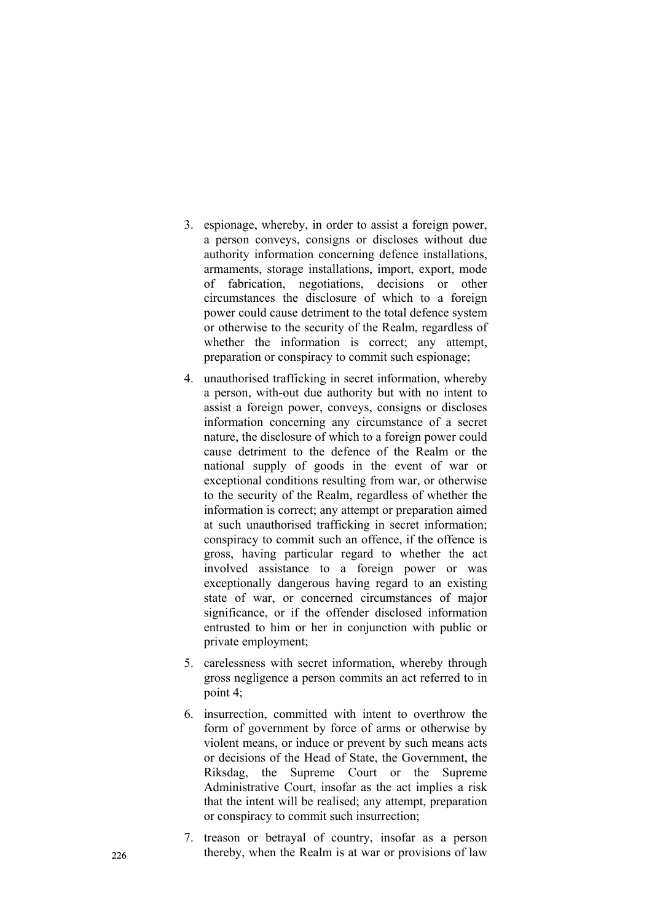- 3. espionage, whereby, in order to assist a foreign power, a person conveys, consigns or discloses without due authority information concerning defence installations, armaments, storage installations, import, export, mode of fabrication, negotiations, decisions or other circumstances the disclosure of which to a foreign power could cause detriment to the total defence system or otherwise to the security of the Realm, regardless of whether the information is correct; any attempt, preparation or conspiracy to commit such espionage;
- 4. unauthorised trafficking in secret information, whereby a person, with-out due authority but with no intent to assist a foreign power, conveys, consigns or discloses information concerning any circumstance of a secret nature, the disclosure of which to a foreign power could cause detriment to the defence of the Realm or the national supply of goods in the event of war or exceptional conditions resulting from war, or otherwise to the security of the Realm, regardless of whether the information is correct; any attempt or preparation aimed at such unauthorised trafficking in secret information; conspiracy to commit such an offence, if the offence is gross, having particular regard to whether the act involved assistance to a foreign power or was exceptionally dangerous having regard to an existing state of war, or concerned circumstances of major significance, or if the offender disclosed information entrusted to him or her in conjunction with public or private employment;
- 5. carelessness with secret information, whereby through gross negligence a person commits an act referred to in point 4;
- 6. insurrection, committed with intent to overthrow the form of government by force of arms or otherwise by violent means, or induce or prevent by such means acts or decisions of the Head of State, the Government, the Riksdag, the Supreme Court or the Supreme Administrative Court, insofar as the act implies a risk that the intent will be realised; any attempt, preparation or conspiracy to commit such insurrection;
- 7. treason or betrayal of country, insofar as a person thereby, when the Realm is at war or provisions of law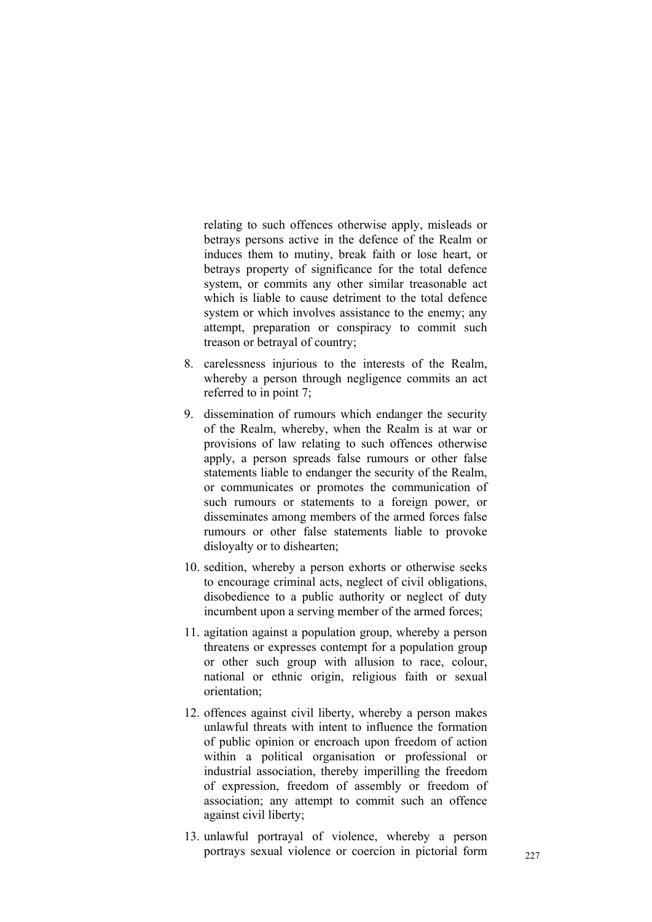relating to such offences otherwise apply, misleads or betrays persons active in the defence of the Realm or induces them to mutiny, break faith or lose heart, or betrays property of significance for the total defence system, or commits any other similar treasonable act which is liable to cause detriment to the total defence system or which involves assistance to the enemy; any attempt, preparation or conspiracy to commit such treason or betrayal of country;

- 8. carelessness injurious to the interests of the Realm, whereby a person through negligence commits an act referred to in point 7;
- 9. dissemination of rumours which endanger the security of the Realm, whereby, when the Realm is at war or provisions of law relating to such offences otherwise apply, a person spreads false rumours or other false statements liable to endanger the security of the Realm, or communicates or promotes the communication of such rumours or statements to a foreign power, or disseminates among members of the armed forces false rumours or other false statements liable to provoke disloyalty or to dishearten;
- 10. sedition, whereby a person exhorts or otherwise seeks to encourage criminal acts, neglect of civil obligations, disobedience to a public authority or neglect of duty incumbent upon a serving member of the armed forces;
- 11. agitation against a population group, whereby a person threatens or expresses contempt for a population group or other such group with allusion to race, colour, national or ethnic origin, religious faith or sexual orientation;
- 12. offences against civil liberty, whereby a person makes unlawful threats with intent to influence the formation of public opinion or encroach upon freedom of action within a political organisation or professional or industrial association, thereby imperilling the freedom of expression, freedom of assembly or freedom of association; any attempt to commit such an offence against civil liberty;
- 13. unlawful portrayal of violence, whereby a person portrays sexual violence or coercion in pictorial form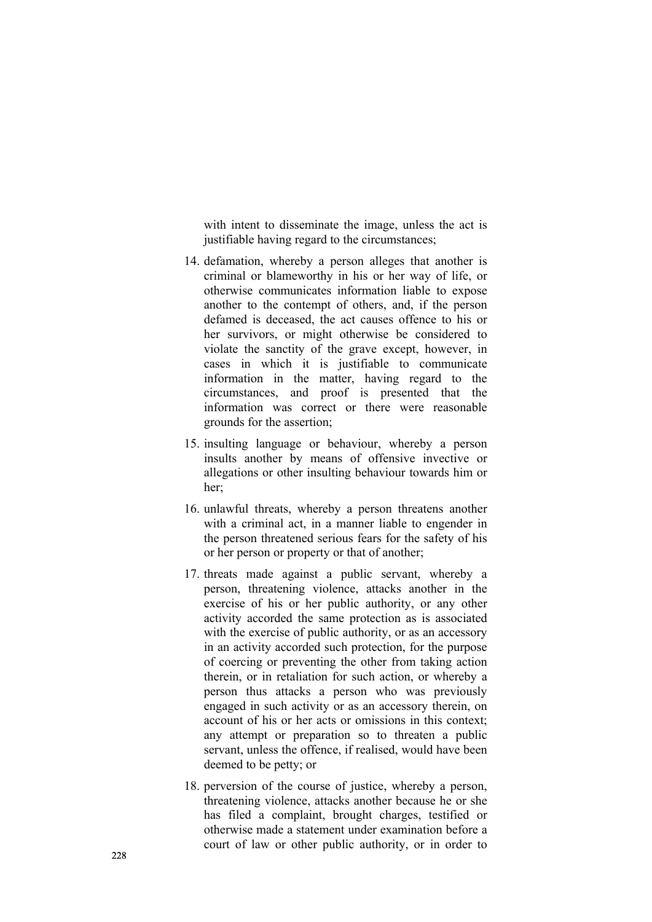with intent to disseminate the image, unless the act is justifiable having regard to the circumstances;

- 14. defamation, whereby a person alleges that another is criminal or blameworthy in his or her way of life, or otherwise communicates information liable to expose another to the contempt of others, and, if the person defamed is deceased, the act causes offence to his or her survivors, or might otherwise be considered to violate the sanctity of the grave except, however, in cases in which it is justifiable to communicate information in the matter, having regard to the circumstances, and proof is presented that the information was correct or there were reasonable grounds for the assertion;
- 15. insulting language or behaviour, whereby a person insults another by means of offensive invective or allegations or other insulting behaviour towards him or her;
- 16. unlawful threats, whereby a person threatens another with a criminal act, in a manner liable to engender in the person threatened serious fears for the safety of his or her person or property or that of another;
- 17. threats made against a public servant, whereby a person, threatening violence, attacks another in the exercise of his or her public authority, or any other activity accorded the same protection as is associated with the exercise of public authority, or as an accessory in an activity accorded such protection, for the purpose of coercing or preventing the other from taking action therein, or in retaliation for such action, or whereby a person thus attacks a person who was previously engaged in such activity or as an accessory therein, on account of his or her acts or omissions in this context; any attempt or preparation so to threaten a public servant, unless the offence, if realised, would have been deemed to be petty; or
- 18. perversion of the course of justice, whereby a person, threatening violence, attacks another because he or she has filed a complaint, brought charges, testified or otherwise made a statement under examination before a court of law or other public authority, or in order to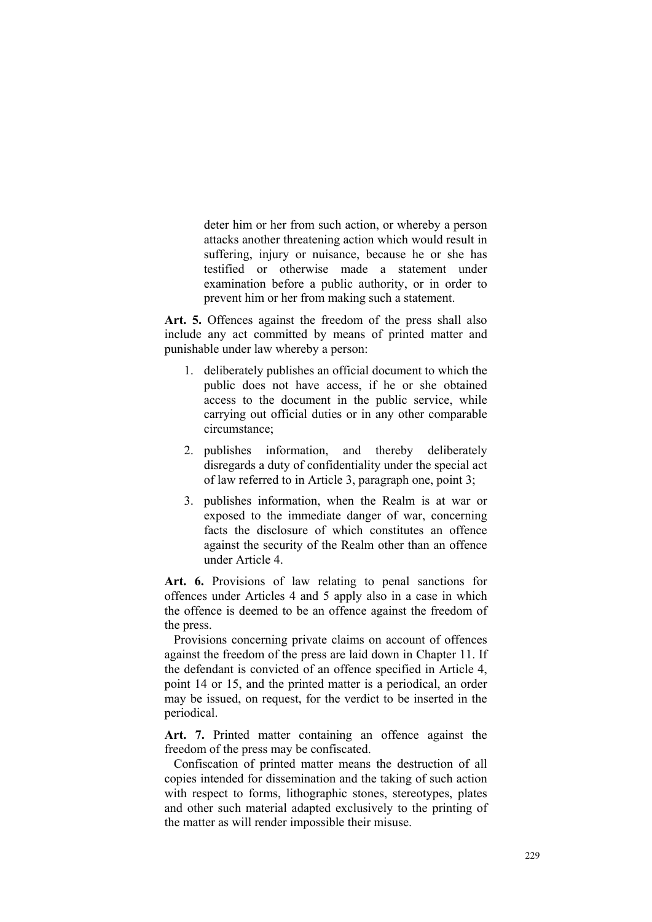deter him or her from such action, or whereby a person attacks another threatening action which would result in suffering, injury or nuisance, because he or she has testified or otherwise made a statement under examination before a public authority, or in order to prevent him or her from making such a statement.

**Art. 5.** Offences against the freedom of the press shall also include any act committed by means of printed matter and punishable under law whereby a person:

- 1. deliberately publishes an official document to which the public does not have access, if he or she obtained access to the document in the public service, while carrying out official duties or in any other comparable circumstance;
- 2. publishes information, and thereby deliberately disregards a duty of confidentiality under the special act of law referred to in Article 3, paragraph one, point 3;
- 3. publishes information, when the Realm is at war or exposed to the immediate danger of war, concerning facts the disclosure of which constitutes an offence against the security of the Realm other than an offence under Article 4.

**Art. 6.** Provisions of law relating to penal sanctions for offences under Articles 4 and 5 apply also in a case in which the offence is deemed to be an offence against the freedom of the press.

Provisions concerning private claims on account of offences against the freedom of the press are laid down in Chapter 11. If the defendant is convicted of an offence specified in Article 4, point 14 or 15, and the printed matter is a periodical, an order may be issued, on request, for the verdict to be inserted in the periodical.

**Art. 7.** Printed matter containing an offence against the freedom of the press may be confiscated.

Confiscation of printed matter means the destruction of all copies intended for dissemination and the taking of such action with respect to forms, lithographic stones, stereotypes, plates and other such material adapted exclusively to the printing of the matter as will render impossible their misuse.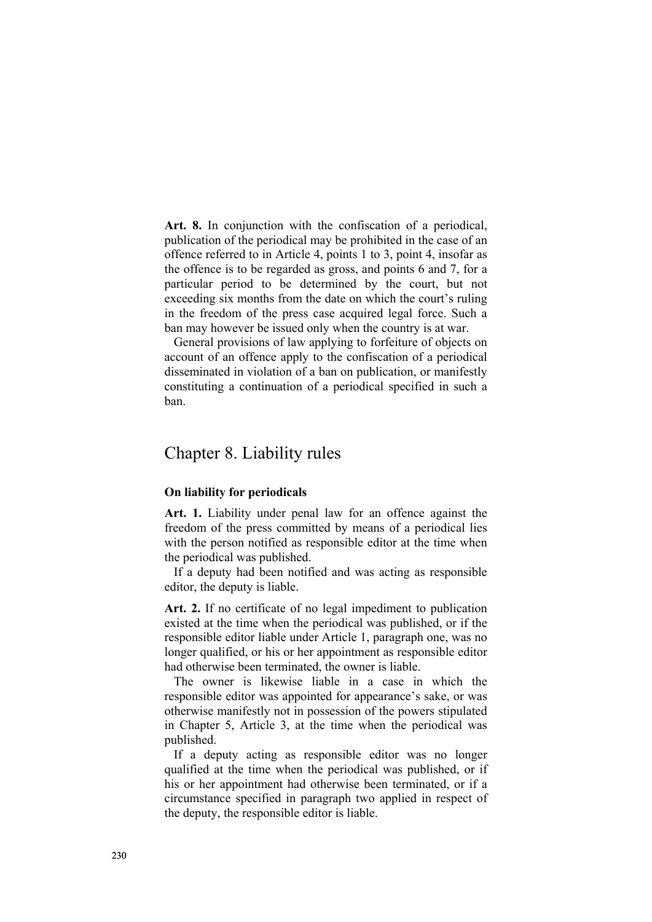Art. 8. In conjunction with the confiscation of a periodical. publication of the periodical may be prohibited in the case of an offence referred to in Article 4, points 1 to 3, point 4, insofar as the offence is to be regarded as gross, and points 6 and 7, for a particular period to be determined by the court, but not exceeding six months from the date on which the court's ruling in the freedom of the press case acquired legal force. Such a ban may however be issued only when the country is at war.

General provisions of law applying to forfeiture of objects on account of an offence apply to the confiscation of a periodical disseminated in violation of a ban on publication, or manifestly constituting a continuation of a periodical specified in such a ban.

### Chapter 8. Liability rules

#### **On liability for periodicals**

**Art. 1.** Liability under penal law for an offence against the freedom of the press committed by means of a periodical lies with the person notified as responsible editor at the time when the periodical was published.

If a deputy had been notified and was acting as responsible editor, the deputy is liable.

**Art. 2.** If no certificate of no legal impediment to publication existed at the time when the periodical was published, or if the responsible editor liable under Article 1, paragraph one, was no longer qualified, or his or her appointment as responsible editor had otherwise been terminated, the owner is liable.

The owner is likewise liable in a case in which the responsible editor was appointed for appearance's sake, or was otherwise manifestly not in possession of the powers stipulated in Chapter 5, Article 3, at the time when the periodical was published.

If a deputy acting as responsible editor was no longer qualified at the time when the periodical was published, or if his or her appointment had otherwise been terminated, or if a circumstance specified in paragraph two applied in respect of the deputy, the responsible editor is liable.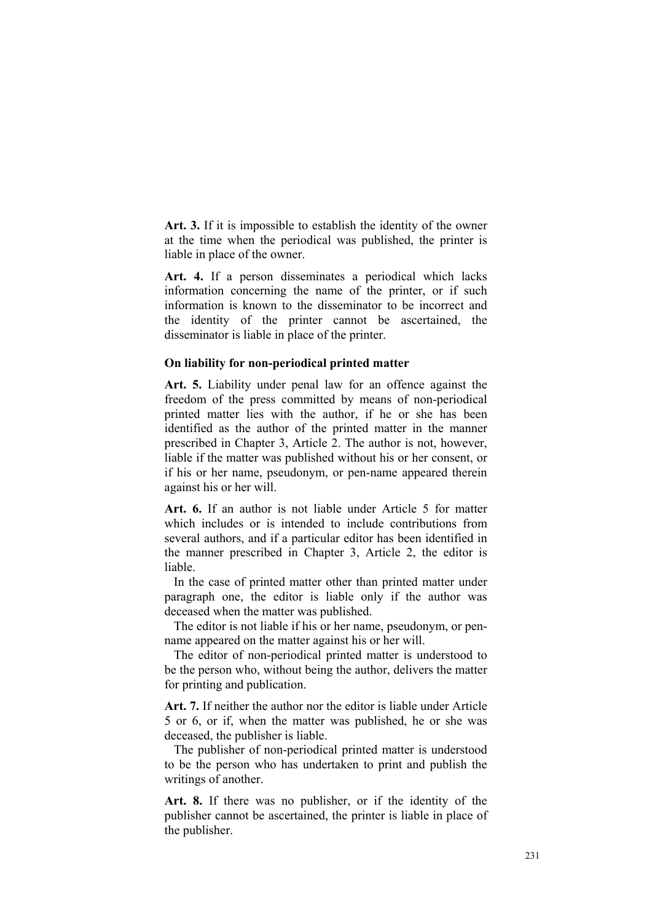**Art. 3.** If it is impossible to establish the identity of the owner at the time when the periodical was published, the printer is liable in place of the owner.

**Art. 4.** If a person disseminates a periodical which lacks information concerning the name of the printer, or if such information is known to the disseminator to be incorrect and the identity of the printer cannot be ascertained, the disseminator is liable in place of the printer.

#### **On liability for non-periodical printed matter**

**Art. 5.** Liability under penal law for an offence against the freedom of the press committed by means of non-periodical printed matter lies with the author, if he or she has been identified as the author of the printed matter in the manner prescribed in Chapter 3, Article 2. The author is not, however, liable if the matter was published without his or her consent, or if his or her name, pseudonym, or pen-name appeared therein against his or her will.

**Art. 6.** If an author is not liable under Article 5 for matter which includes or is intended to include contributions from several authors, and if a particular editor has been identified in the manner prescribed in Chapter 3, Article 2, the editor is liable.

In the case of printed matter other than printed matter under paragraph one, the editor is liable only if the author was deceased when the matter was published.

The editor is not liable if his or her name, pseudonym, or penname appeared on the matter against his or her will.

The editor of non-periodical printed matter is understood to be the person who, without being the author, delivers the matter for printing and publication.

**Art. 7.** If neither the author nor the editor is liable under Article 5 or 6, or if, when the matter was published, he or she was deceased, the publisher is liable.

The publisher of non-periodical printed matter is understood to be the person who has undertaken to print and publish the writings of another.

**Art. 8.** If there was no publisher, or if the identity of the publisher cannot be ascertained, the printer is liable in place of the publisher.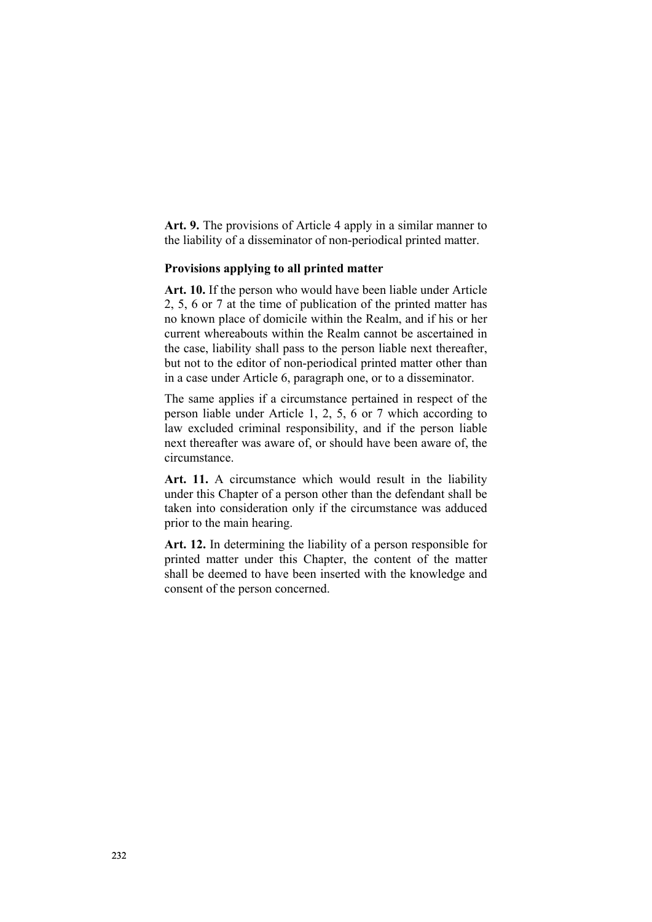**Art. 9.** The provisions of Article 4 apply in a similar manner to the liability of a disseminator of non-periodical printed matter.

#### **Provisions applying to all printed matter**

**Art. 10.** If the person who would have been liable under Article 2, 5, 6 or 7 at the time of publication of the printed matter has no known place of domicile within the Realm, and if his or her current whereabouts within the Realm cannot be ascertained in the case, liability shall pass to the person liable next thereafter, but not to the editor of non-periodical printed matter other than in a case under Article 6, paragraph one, or to a disseminator.

The same applies if a circumstance pertained in respect of the person liable under Article 1, 2, 5, 6 or 7 which according to law excluded criminal responsibility, and if the person liable next thereafter was aware of, or should have been aware of, the circumstance.

Art. 11. A circumstance which would result in the liability under this Chapter of a person other than the defendant shall be taken into consideration only if the circumstance was adduced prior to the main hearing.

**Art. 12.** In determining the liability of a person responsible for printed matter under this Chapter, the content of the matter shall be deemed to have been inserted with the knowledge and consent of the person concerned.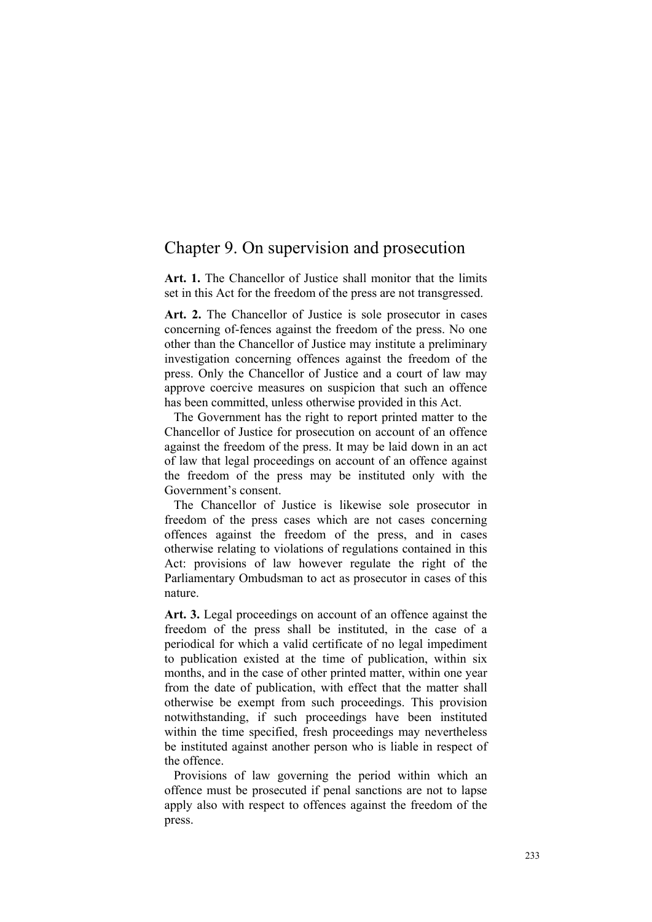## Chapter 9. On supervision and prosecution

**Art. 1.** The Chancellor of Justice shall monitor that the limits set in this Act for the freedom of the press are not transgressed.

**Art. 2.** The Chancellor of Justice is sole prosecutor in cases concerning of-fences against the freedom of the press. No one other than the Chancellor of Justice may institute a preliminary investigation concerning offences against the freedom of the press. Only the Chancellor of Justice and a court of law may approve coercive measures on suspicion that such an offence has been committed, unless otherwise provided in this Act.

The Government has the right to report printed matter to the Chancellor of Justice for prosecution on account of an offence against the freedom of the press. It may be laid down in an act of law that legal proceedings on account of an offence against the freedom of the press may be instituted only with the Government's consent.

The Chancellor of Justice is likewise sole prosecutor in freedom of the press cases which are not cases concerning offences against the freedom of the press, and in cases otherwise relating to violations of regulations contained in this Act: provisions of law however regulate the right of the Parliamentary Ombudsman to act as prosecutor in cases of this nature.

**Art. 3.** Legal proceedings on account of an offence against the freedom of the press shall be instituted, in the case of a periodical for which a valid certificate of no legal impediment to publication existed at the time of publication, within six months, and in the case of other printed matter, within one year from the date of publication, with effect that the matter shall otherwise be exempt from such proceedings. This provision notwithstanding, if such proceedings have been instituted within the time specified, fresh proceedings may nevertheless be instituted against another person who is liable in respect of the offence.

Provisions of law governing the period within which an offence must be prosecuted if penal sanctions are not to lapse apply also with respect to offences against the freedom of the press.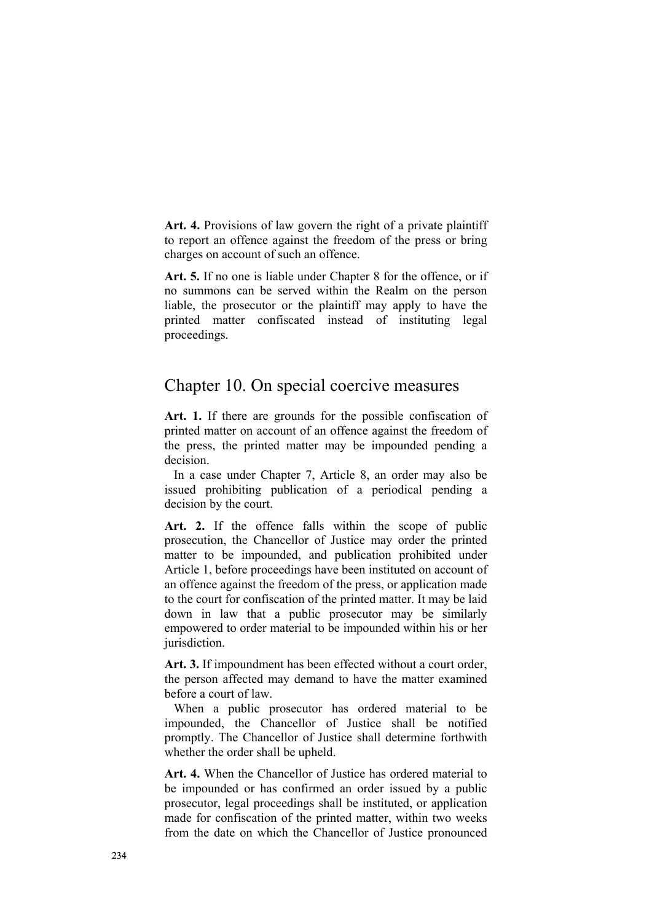**Art. 4.** Provisions of law govern the right of a private plaintiff to report an offence against the freedom of the press or bring charges on account of such an offence.

Art. 5. If no one is liable under Chapter 8 for the offence, or if no summons can be served within the Realm on the person liable, the prosecutor or the plaintiff may apply to have the printed matter confiscated instead of instituting legal proceedings.

### Chapter 10. On special coercive measures

**Art. 1.** If there are grounds for the possible confiscation of printed matter on account of an offence against the freedom of the press, the printed matter may be impounded pending a decision.

In a case under Chapter 7, Article 8, an order may also be issued prohibiting publication of a periodical pending a decision by the court.

Art. 2. If the offence falls within the scope of public prosecution, the Chancellor of Justice may order the printed matter to be impounded, and publication prohibited under Article 1, before proceedings have been instituted on account of an offence against the freedom of the press, or application made to the court for confiscation of the printed matter. It may be laid down in law that a public prosecutor may be similarly empowered to order material to be impounded within his or her jurisdiction.

**Art. 3.** If impoundment has been effected without a court order, the person affected may demand to have the matter examined before a court of law.

When a public prosecutor has ordered material to be impounded, the Chancellor of Justice shall be notified promptly. The Chancellor of Justice shall determine forthwith whether the order shall be upheld.

**Art. 4.** When the Chancellor of Justice has ordered material to be impounded or has confirmed an order issued by a public prosecutor, legal proceedings shall be instituted, or application made for confiscation of the printed matter, within two weeks from the date on which the Chancellor of Justice pronounced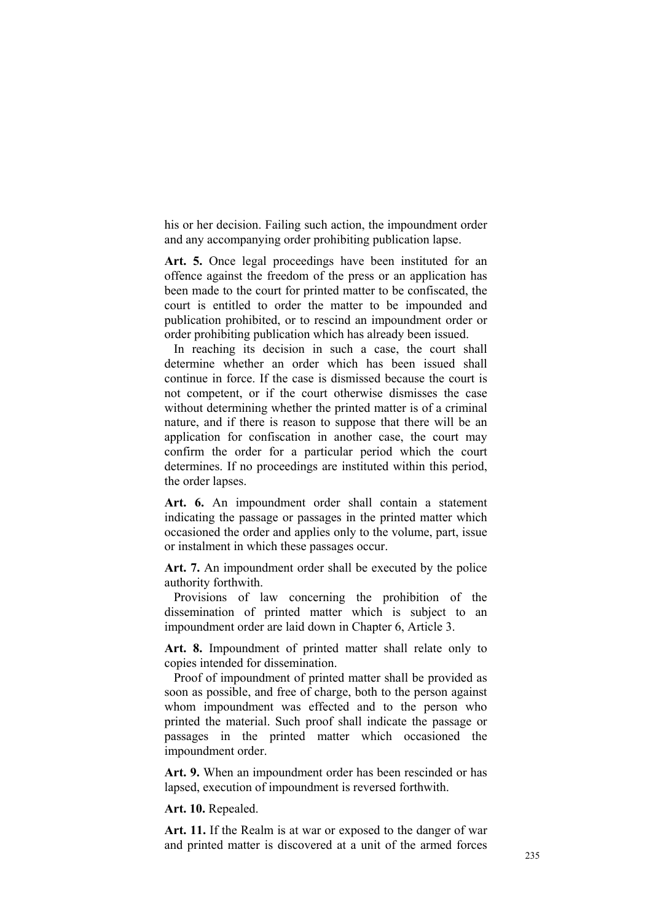his or her decision. Failing such action, the impoundment order and any accompanying order prohibiting publication lapse.

Art. 5. Once legal proceedings have been instituted for an offence against the freedom of the press or an application has been made to the court for printed matter to be confiscated, the court is entitled to order the matter to be impounded and publication prohibited, or to rescind an impoundment order or order prohibiting publication which has already been issued.

In reaching its decision in such a case, the court shall determine whether an order which has been issued shall continue in force. If the case is dismissed because the court is not competent, or if the court otherwise dismisses the case without determining whether the printed matter is of a criminal nature, and if there is reason to suppose that there will be an application for confiscation in another case, the court may confirm the order for a particular period which the court determines. If no proceedings are instituted within this period, the order lapses.

**Art. 6.** An impoundment order shall contain a statement indicating the passage or passages in the printed matter which occasioned the order and applies only to the volume, part, issue or instalment in which these passages occur.

**Art. 7.** An impoundment order shall be executed by the police authority forthwith.

Provisions of law concerning the prohibition of the dissemination of printed matter which is subject to an impoundment order are laid down in Chapter 6, Article 3.

**Art. 8.** Impoundment of printed matter shall relate only to copies intended for dissemination.

Proof of impoundment of printed matter shall be provided as soon as possible, and free of charge, both to the person against whom impoundment was effected and to the person who printed the material. Such proof shall indicate the passage or passages in the printed matter which occasioned the impoundment order.

**Art. 9.** When an impoundment order has been rescinded or has lapsed, execution of impoundment is reversed forthwith.

**Art. 10.** Repealed.

**Art. 11.** If the Realm is at war or exposed to the danger of war and printed matter is discovered at a unit of the armed forces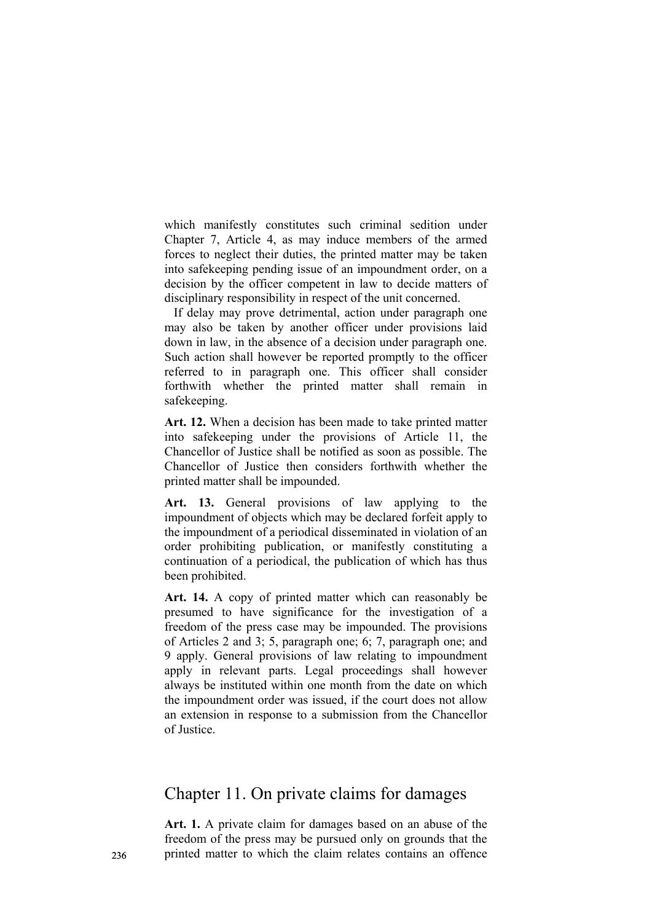which manifestly constitutes such criminal sedition under Chapter 7, Article 4, as may induce members of the armed forces to neglect their duties, the printed matter may be taken into safekeeping pending issue of an impoundment order, on a decision by the officer competent in law to decide matters of disciplinary responsibility in respect of the unit concerned.

If delay may prove detrimental, action under paragraph one may also be taken by another officer under provisions laid down in law, in the absence of a decision under paragraph one. Such action shall however be reported promptly to the officer referred to in paragraph one. This officer shall consider forthwith whether the printed matter shall remain in safekeeping.

**Art. 12.** When a decision has been made to take printed matter into safekeeping under the provisions of Article 11, the Chancellor of Justice shall be notified as soon as possible. The Chancellor of Justice then considers forthwith whether the printed matter shall be impounded.

**Art. 13.** General provisions of law applying to the impoundment of objects which may be declared forfeit apply to the impoundment of a periodical disseminated in violation of an order prohibiting publication, or manifestly constituting a continuation of a periodical, the publication of which has thus been prohibited.

**Art. 14.** A copy of printed matter which can reasonably be presumed to have significance for the investigation of a freedom of the press case may be impounded. The provisions of Articles 2 and 3; 5, paragraph one; 6; 7, paragraph one; and 9 apply. General provisions of law relating to impoundment apply in relevant parts. Legal proceedings shall however always be instituted within one month from the date on which the impoundment order was issued, if the court does not allow an extension in response to a submission from the Chancellor of Justice.

# Chapter 11. On private claims for damages

**Art. 1.** A private claim for damages based on an abuse of the freedom of the press may be pursued only on grounds that the printed matter to which the claim relates contains an offence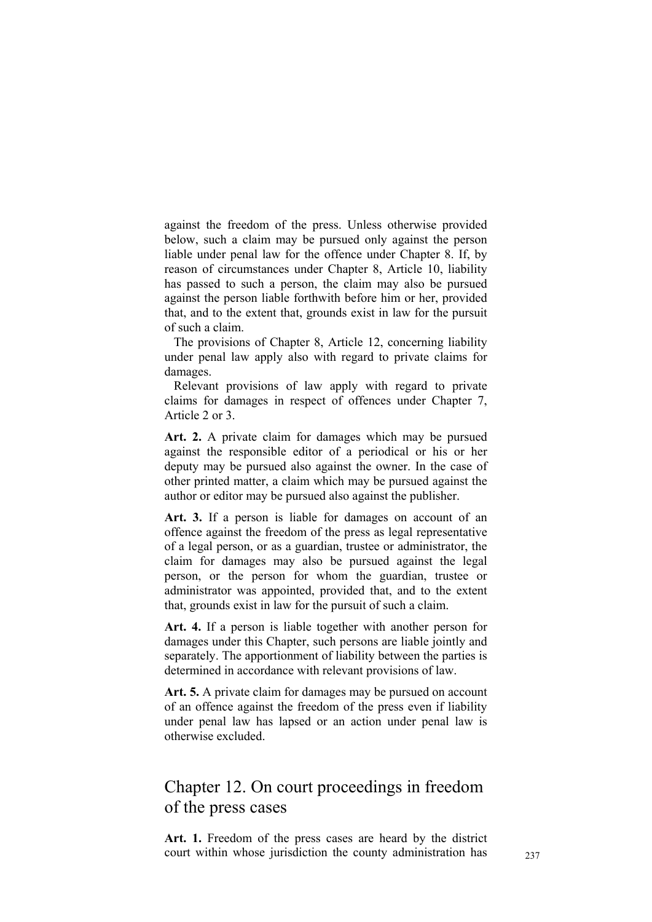against the freedom of the press. Unless otherwise provided below, such a claim may be pursued only against the person liable under penal law for the offence under Chapter 8. If, by reason of circumstances under Chapter 8, Article 10, liability has passed to such a person, the claim may also be pursued against the person liable forthwith before him or her, provided that, and to the extent that, grounds exist in law for the pursuit of such a claim.

The provisions of Chapter 8, Article 12, concerning liability under penal law apply also with regard to private claims for damages.

Relevant provisions of law apply with regard to private claims for damages in respect of offences under Chapter 7, Article 2 or 3.

**Art. 2.** A private claim for damages which may be pursued against the responsible editor of a periodical or his or her deputy may be pursued also against the owner. In the case of other printed matter, a claim which may be pursued against the author or editor may be pursued also against the publisher.

**Art. 3.** If a person is liable for damages on account of an offence against the freedom of the press as legal representative of a legal person, or as a guardian, trustee or administrator, the claim for damages may also be pursued against the legal person, or the person for whom the guardian, trustee or administrator was appointed, provided that, and to the extent that, grounds exist in law for the pursuit of such a claim.

**Art. 4.** If a person is liable together with another person for damages under this Chapter, such persons are liable jointly and separately. The apportionment of liability between the parties is determined in accordance with relevant provisions of law.

**Art. 5.** A private claim for damages may be pursued on account of an offence against the freedom of the press even if liability under penal law has lapsed or an action under penal law is otherwise excluded.

# Chapter 12. On court proceedings in freedom of the press cases

**Art. 1.** Freedom of the press cases are heard by the district court within whose jurisdiction the county administration has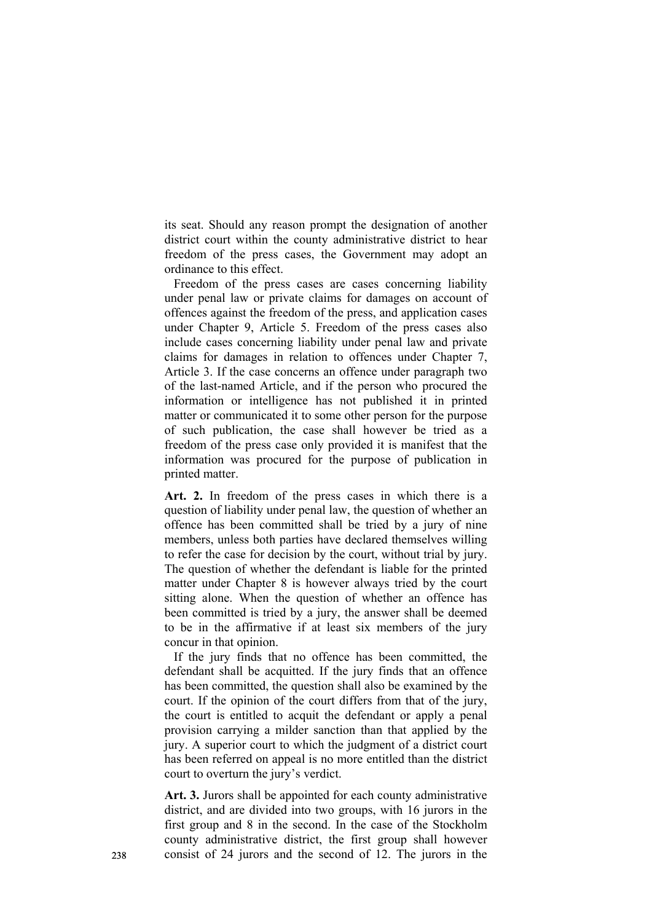its seat. Should any reason prompt the designation of another district court within the county administrative district to hear freedom of the press cases, the Government may adopt an ordinance to this effect.

Freedom of the press cases are cases concerning liability under penal law or private claims for damages on account of offences against the freedom of the press, and application cases under Chapter 9, Article 5. Freedom of the press cases also include cases concerning liability under penal law and private claims for damages in relation to offences under Chapter 7, Article 3. If the case concerns an offence under paragraph two of the last-named Article, and if the person who procured the information or intelligence has not published it in printed matter or communicated it to some other person for the purpose of such publication, the case shall however be tried as a freedom of the press case only provided it is manifest that the information was procured for the purpose of publication in printed matter.

**Art. 2.** In freedom of the press cases in which there is a question of liability under penal law, the question of whether an offence has been committed shall be tried by a jury of nine members, unless both parties have declared themselves willing to refer the case for decision by the court, without trial by jury. The question of whether the defendant is liable for the printed matter under Chapter 8 is however always tried by the court sitting alone. When the question of whether an offence has been committed is tried by a jury, the answer shall be deemed to be in the affirmative if at least six members of the jury concur in that opinion.

If the jury finds that no offence has been committed, the defendant shall be acquitted. If the jury finds that an offence has been committed, the question shall also be examined by the court. If the opinion of the court differs from that of the jury, the court is entitled to acquit the defendant or apply a penal provision carrying a milder sanction than that applied by the jury. A superior court to which the judgment of a district court has been referred on appeal is no more entitled than the district court to overturn the jury's verdict.

**Art. 3.** Jurors shall be appointed for each county administrative district, and are divided into two groups, with 16 jurors in the first group and 8 in the second. In the case of the Stockholm county administrative district, the first group shall however consist of 24 jurors and the second of 12. The jurors in the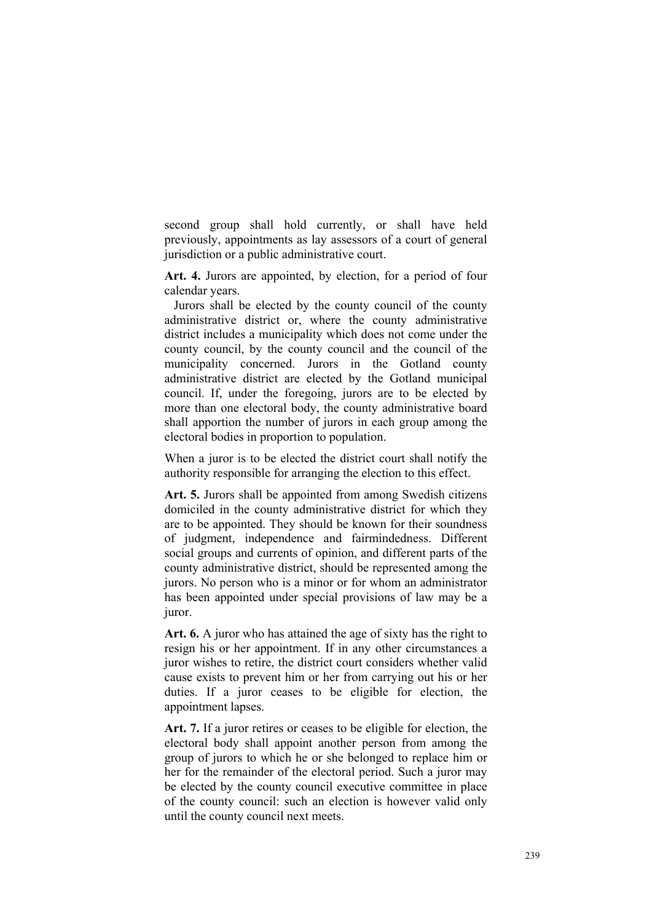second group shall hold currently, or shall have held previously, appointments as lay assessors of a court of general jurisdiction or a public administrative court.

**Art. 4.** Jurors are appointed, by election, for a period of four calendar years.

Jurors shall be elected by the county council of the county administrative district or, where the county administrative district includes a municipality which does not come under the county council, by the county council and the council of the municipality concerned. Jurors in the Gotland county administrative district are elected by the Gotland municipal council. If, under the foregoing, jurors are to be elected by more than one electoral body, the county administrative board shall apportion the number of jurors in each group among the electoral bodies in proportion to population.

When a juror is to be elected the district court shall notify the authority responsible for arranging the election to this effect.

**Art. 5.** Jurors shall be appointed from among Swedish citizens domiciled in the county administrative district for which they are to be appointed. They should be known for their soundness of judgment, independence and fairmindedness. Different social groups and currents of opinion, and different parts of the county administrative district, should be represented among the jurors. No person who is a minor or for whom an administrator has been appointed under special provisions of law may be a juror.

**Art. 6.** A juror who has attained the age of sixty has the right to resign his or her appointment. If in any other circumstances a juror wishes to retire, the district court considers whether valid cause exists to prevent him or her from carrying out his or her duties. If a juror ceases to be eligible for election, the appointment lapses.

**Art. 7.** If a juror retires or ceases to be eligible for election, the electoral body shall appoint another person from among the group of jurors to which he or she belonged to replace him or her for the remainder of the electoral period. Such a juror may be elected by the county council executive committee in place of the county council: such an election is however valid only until the county council next meets.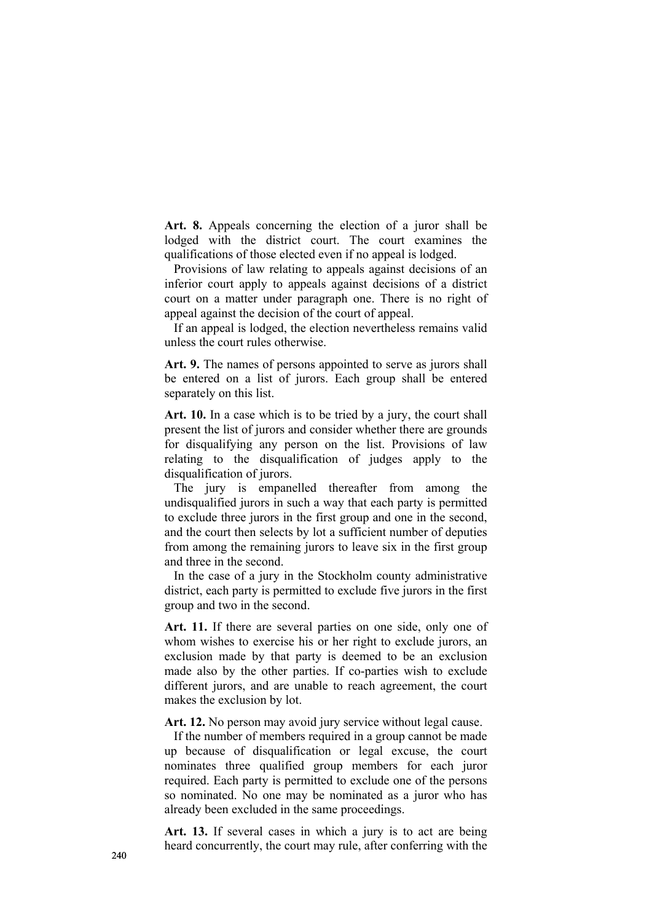Art. 8. Appeals concerning the election of a juror shall be lodged with the district court. The court examines the qualifications of those elected even if no appeal is lodged.

Provisions of law relating to appeals against decisions of an inferior court apply to appeals against decisions of a district court on a matter under paragraph one. There is no right of appeal against the decision of the court of appeal.

If an appeal is lodged, the election nevertheless remains valid unless the court rules otherwise.

**Art. 9.** The names of persons appointed to serve as jurors shall be entered on a list of jurors. Each group shall be entered separately on this list.

**Art. 10.** In a case which is to be tried by a jury, the court shall present the list of jurors and consider whether there are grounds for disqualifying any person on the list. Provisions of law relating to the disqualification of judges apply to the disqualification of jurors.

The jury is empanelled thereafter from among the undisqualified jurors in such a way that each party is permitted to exclude three jurors in the first group and one in the second, and the court then selects by lot a sufficient number of deputies from among the remaining jurors to leave six in the first group and three in the second.

In the case of a jury in the Stockholm county administrative district, each party is permitted to exclude five jurors in the first group and two in the second.

Art. 11. If there are several parties on one side, only one of whom wishes to exercise his or her right to exclude jurors, an exclusion made by that party is deemed to be an exclusion made also by the other parties. If co-parties wish to exclude different jurors, and are unable to reach agreement, the court makes the exclusion by lot.

**Art. 12.** No person may avoid jury service without legal cause.

If the number of members required in a group cannot be made up because of disqualification or legal excuse, the court nominates three qualified group members for each juror required. Each party is permitted to exclude one of the persons so nominated. No one may be nominated as a juror who has already been excluded in the same proceedings.

**Art. 13.** If several cases in which a jury is to act are being heard concurrently, the court may rule, after conferring with the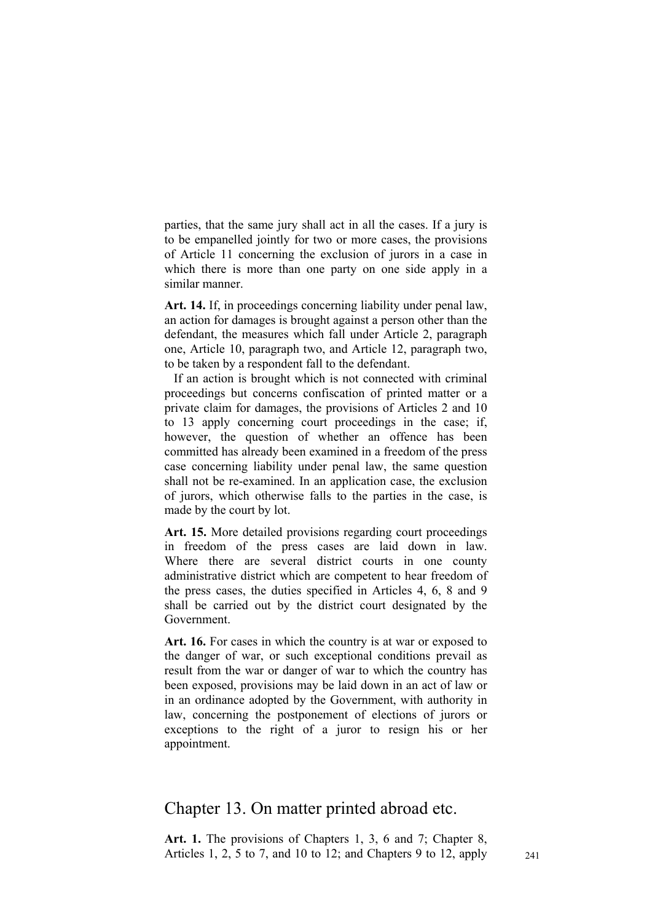parties, that the same jury shall act in all the cases. If a jury is to be empanelled jointly for two or more cases, the provisions of Article 11 concerning the exclusion of jurors in a case in which there is more than one party on one side apply in a similar manner.

**Art. 14.** If, in proceedings concerning liability under penal law, an action for damages is brought against a person other than the defendant, the measures which fall under Article 2, paragraph one, Article 10, paragraph two, and Article 12, paragraph two, to be taken by a respondent fall to the defendant.

If an action is brought which is not connected with criminal proceedings but concerns confiscation of printed matter or a private claim for damages, the provisions of Articles 2 and 10 to 13 apply concerning court proceedings in the case; if, however, the question of whether an offence has been committed has already been examined in a freedom of the press case concerning liability under penal law, the same question shall not be re-examined. In an application case, the exclusion of jurors, which otherwise falls to the parties in the case, is made by the court by lot.

**Art. 15.** More detailed provisions regarding court proceedings in freedom of the press cases are laid down in law. Where there are several district courts in one county administrative district which are competent to hear freedom of the press cases, the duties specified in Articles 4, 6, 8 and 9 shall be carried out by the district court designated by the Government.

**Art. 16.** For cases in which the country is at war or exposed to the danger of war, or such exceptional conditions prevail as result from the war or danger of war to which the country has been exposed, provisions may be laid down in an act of law or in an ordinance adopted by the Government, with authority in law, concerning the postponement of elections of jurors or exceptions to the right of a juror to resign his or her appointment.

## Chapter 13. On matter printed abroad etc.

**Art. 1.** The provisions of Chapters 1, 3, 6 and 7; Chapter 8, Articles 1, 2, 5 to 7, and 10 to 12; and Chapters 9 to 12, apply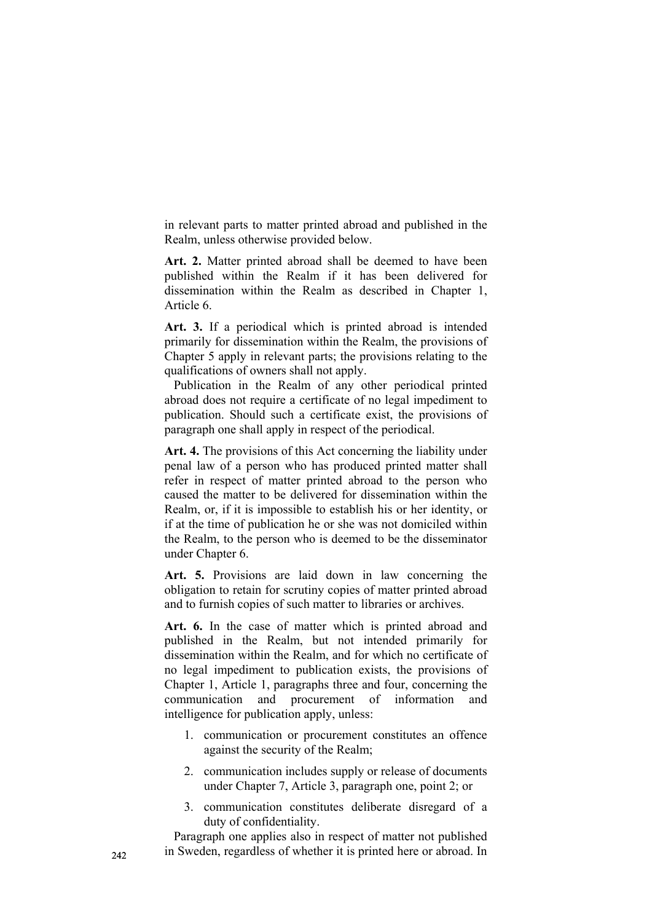in relevant parts to matter printed abroad and published in the Realm, unless otherwise provided below.

**Art. 2.** Matter printed abroad shall be deemed to have been published within the Realm if it has been delivered for dissemination within the Realm as described in Chapter 1, Article 6.

**Art. 3.** If a periodical which is printed abroad is intended primarily for dissemination within the Realm, the provisions of Chapter 5 apply in relevant parts; the provisions relating to the qualifications of owners shall not apply.

Publication in the Realm of any other periodical printed abroad does not require a certificate of no legal impediment to publication. Should such a certificate exist, the provisions of paragraph one shall apply in respect of the periodical.

**Art. 4.** The provisions of this Act concerning the liability under penal law of a person who has produced printed matter shall refer in respect of matter printed abroad to the person who caused the matter to be delivered for dissemination within the Realm, or, if it is impossible to establish his or her identity, or if at the time of publication he or she was not domiciled within the Realm, to the person who is deemed to be the disseminator under Chapter 6.

**Art. 5.** Provisions are laid down in law concerning the obligation to retain for scrutiny copies of matter printed abroad and to furnish copies of such matter to libraries or archives.

**Art. 6.** In the case of matter which is printed abroad and published in the Realm, but not intended primarily for dissemination within the Realm, and for which no certificate of no legal impediment to publication exists, the provisions of Chapter 1, Article 1, paragraphs three and four, concerning the communication and procurement of information and intelligence for publication apply, unless:

- 1. communication or procurement constitutes an offence against the security of the Realm;
- 2. communication includes supply or release of documents under Chapter 7, Article 3, paragraph one, point 2; or
- 3. communication constitutes deliberate disregard of a duty of confidentiality.

Paragraph one applies also in respect of matter not published in Sweden, regardless of whether it is printed here or abroad. In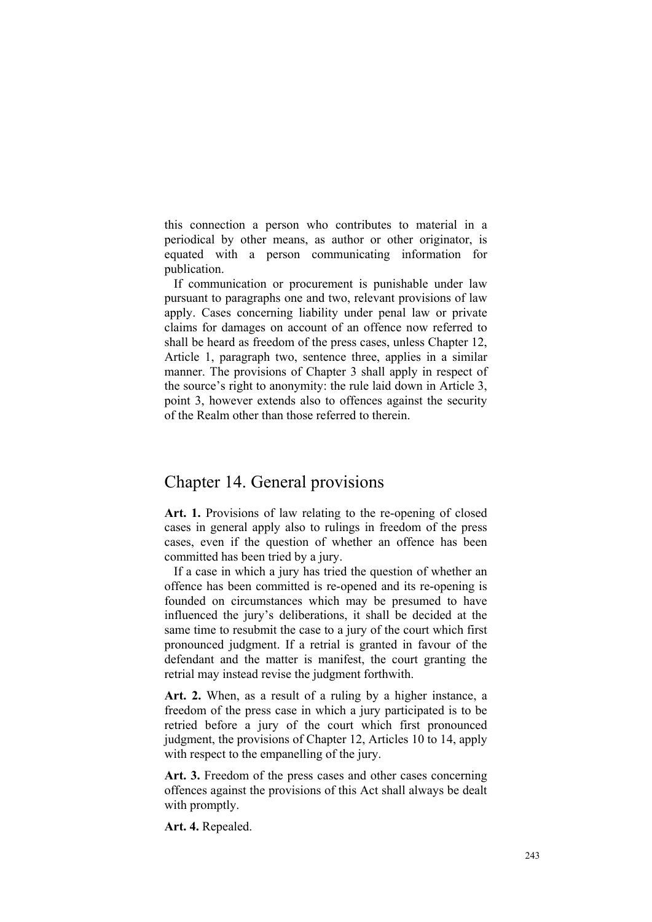this connection a person who contributes to material in a periodical by other means, as author or other originator, is equated with a person communicating information for publication.

If communication or procurement is punishable under law pursuant to paragraphs one and two, relevant provisions of law apply. Cases concerning liability under penal law or private claims for damages on account of an offence now referred to shall be heard as freedom of the press cases, unless Chapter 12, Article 1, paragraph two, sentence three, applies in a similar manner. The provisions of Chapter 3 shall apply in respect of the source's right to anonymity: the rule laid down in Article 3, point 3, however extends also to offences against the security of the Realm other than those referred to therein.

### Chapter 14. General provisions

**Art. 1.** Provisions of law relating to the re-opening of closed cases in general apply also to rulings in freedom of the press cases, even if the question of whether an offence has been committed has been tried by a jury.

If a case in which a jury has tried the question of whether an offence has been committed is re-opened and its re-opening is founded on circumstances which may be presumed to have influenced the jury's deliberations, it shall be decided at the same time to resubmit the case to a jury of the court which first pronounced judgment. If a retrial is granted in favour of the defendant and the matter is manifest, the court granting the retrial may instead revise the judgment forthwith.

**Art. 2.** When, as a result of a ruling by a higher instance, a freedom of the press case in which a jury participated is to be retried before a jury of the court which first pronounced judgment, the provisions of Chapter 12, Articles 10 to 14, apply with respect to the empanelling of the jury.

**Art. 3.** Freedom of the press cases and other cases concerning offences against the provisions of this Act shall always be dealt with promptly.

**Art. 4.** Repealed.